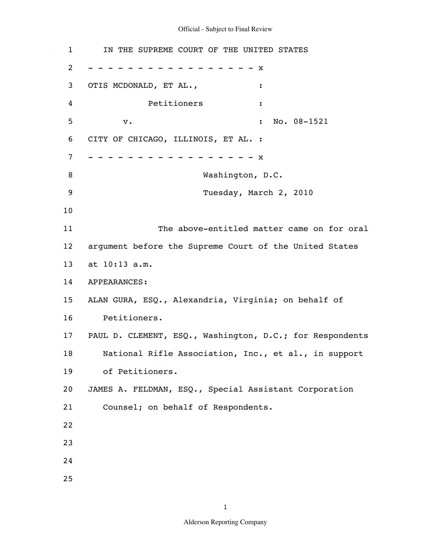1 IN THE SUPREME COURT OF THE UNITED STATES 2 3 4 5 6 7 8 9 10 11 12 13 14 APPEARANCES: 15 16 17 18 19 20 21 22 23 24 25 - - - - - - - - - - - - - - - - - x OTIS MCDONALD, ET AL.,  $\cdot$ Petitioners : v. 10. 08-1521 CITY OF CHICAGO, ILLINOIS, ET AL. : - - - - - - - - - - - - - - - - - x Washington, D.C. Tuesday, March 2, 2010 The above-entitled matter came on for oral argument before the Supreme Court of the United States at 10:13 a.m. ALAN GURA, ESQ., Alexandria, Virginia; on behalf of Petitioners. PAUL D. CLEMENT, ESQ., Washington, D.C.; for Respondents National Rifle Association, Inc., et al., in support of Petitioners. JAMES A. FELDMAN, ESQ., Special Assistant Corporation Counsel; on behalf of Respondents.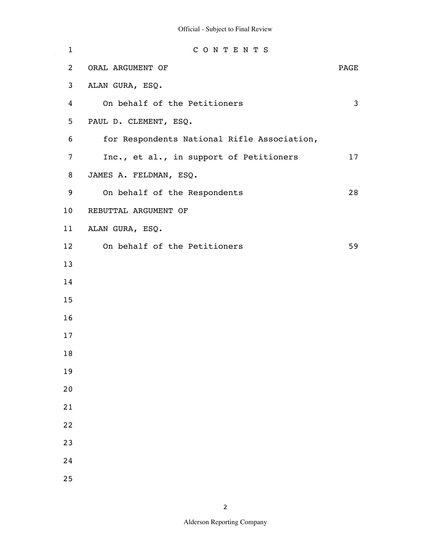$\hat{\mathcal{A}}$ 

| $\mathbf 1$     | CONTENTS                                    |      |
|-----------------|---------------------------------------------|------|
| $\overline{c}$  | ORAL ARGUMENT OF                            | PAGE |
| 3               | ALAN GURA, ESQ.                             |      |
| 4               | On behalf of the Petitioners                | 3    |
| 5               | PAUL D. CLEMENT, ESQ.                       |      |
| 6               | for Respondents National Rifle Association, |      |
| 7               | Inc., et al., in support of Petitioners     | 17   |
| 8               | JAMES A. FELDMAN, ESQ.                      |      |
| 9               | On behalf of the Respondents                | 28   |
| 10              | REBUTTAL ARGUMENT OF                        |      |
| 11              | ALAN GURA, ESQ.                             |      |
| 12 <sup>°</sup> | On behalf of the Petitioners                | 59   |
| 13              |                                             |      |
| 14              |                                             |      |
| 15              |                                             |      |
| 16              |                                             |      |
| 17              |                                             |      |
| 18              |                                             |      |
| 19              |                                             |      |
| 20              |                                             |      |
| 21              |                                             |      |
| 22              |                                             |      |
| 23              |                                             |      |
| 24              |                                             |      |
| 25              |                                             |      |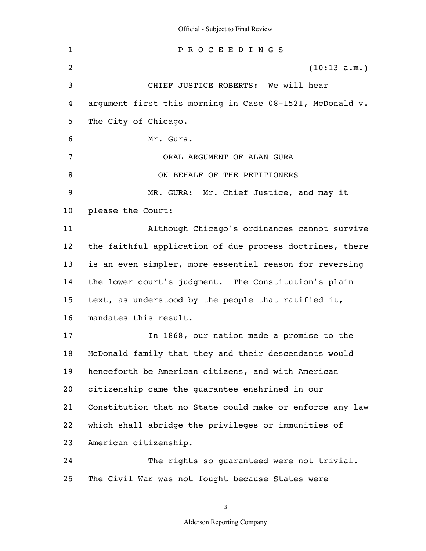| Official - Subject to Final Review |  |  |
|------------------------------------|--|--|
|                                    |  |  |

1 2 3 4 5 6 7 8 9 10 11 12 13 14 15 16 17 18 19 20 21 22 23 24 25 P R O C E E D I N G S (10:13 a.m.) CHIEF JUSTICE ROBERTS: We will hear argument first this morning in Case 08-1521, McDonald v. The City of Chicago. Mr. Gura. ORAL ARGUMENT OF ALAN GURA ON BEHALF OF THE PETITIONERS MR. GURA: Mr. Chief Justice, and may it please the Court: Although Chicago's ordinances cannot survive the faithful application of due process doctrines, there is an even simpler, more essential reason for reversing the lower court's judgment. The Constitution's plain text, as understood by the people that ratified it, mandates this result. In 1868, our nation made a promise to the McDonald family that they and their descendants would henceforth be American citizens, and with American citizenship came the guarantee enshrined in our Constitution that no State could make or enforce any law which shall abridge the privileges or immunities of American citizenship. The rights so quaranteed were not trivial. The Civil War was not fought because States were

3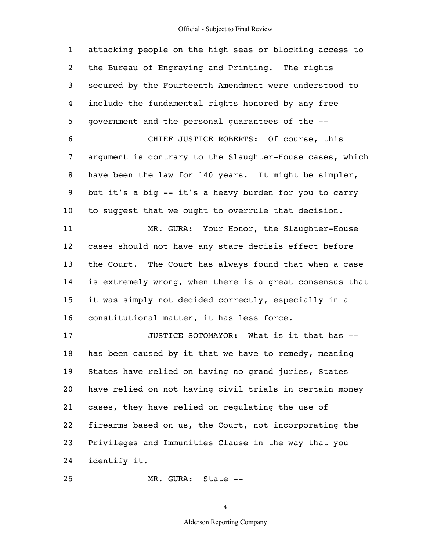1 2 3 4 5 6 7 8 9 10 11 12 13 14 15 16 17 18 19 20 21 22 23 24 25 attacking people on the high seas or blocking access to the Bureau of Engraving and Printing. The rights secured by the Fourteenth Amendment were understood to include the fundamental rights honored by any free government and the personal guarantees of the -- CHIEF JUSTICE ROBERTS: Of course, this argument is contrary to the Slaughter-House cases, which have been the law for 140 years. It might be simpler, but it's a big -- it's a heavy burden for you to carry to suggest that we ought to overrule that decision. MR. GURA: Your Honor, the Slaughter-House cases should not have any stare decisis effect before the Court. The Court has always found that when a case is extremely wrong, when there is a great consensus that it was simply not decided correctly, especially in a constitutional matter, it has less force. JUSTICE SOTOMAYOR: What is it that has - has been caused by it that we have to remedy, meaning States have relied on having no grand juries, States have relied on not having civil trials in certain money cases, they have relied on regulating the use of firearms based on us, the Court, not incorporating the Privileges and Immunities Clause in the way that you identify it.

MR. GURA: State --

4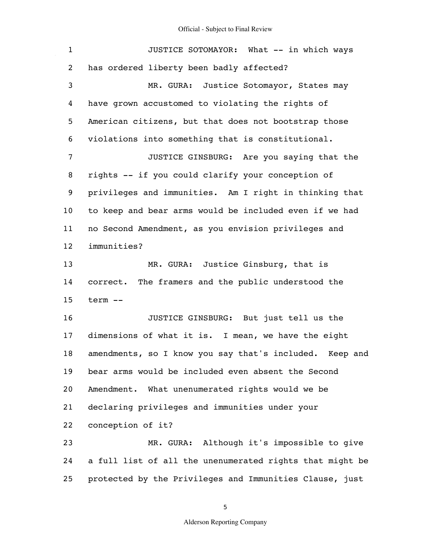$\hat{\mathcal{A}}$ 

| $\mathbf{1}$      | JUSTICE SOTOMAYOR: What -- in which ways                   |
|-------------------|------------------------------------------------------------|
| 2                 | has ordered liberty been badly affected?                   |
| 3                 | MR. GURA: Justice Sotomayor, States may                    |
| 4                 | have grown accustomed to violating the rights of           |
| 5                 | American citizens, but that does not bootstrap those       |
| 6                 | violations into something that is constitutional.          |
| 7                 | JUSTICE GINSBURG: Are you saying that the                  |
| 8                 | rights -- if you could clarify your conception of          |
| 9                 | privileges and immunities. Am I right in thinking that     |
| 10 <sub>o</sub>   | to keep and bear arms would be included even if we had     |
| 11                | no Second Amendment, as you envision privileges and        |
| $12 \overline{ }$ | immunities?                                                |
| 13                | MR. GURA: Justice Ginsburg, that is                        |
| 14                | correct. The framers and the public understood the         |
| 15                | term --                                                    |
| 16                | JUSTICE GINSBURG: But just tell us the                     |
| 17                | dimensions of what it is. I mean, we have the eight        |
| 18                | amendments, so I know you say that's included.<br>Keep and |
| 19                | bear arms would be included even absent the Second         |
| 20                | Amendment. What unenumerated rights would we be            |
| 21                | declaring privileges and immunities under your             |
| 22                | conception of it?                                          |
| 23                | MR. GURA: Although it's impossible to give                 |
| 24                | a full list of all the unenumerated rights that might be   |
| 25                | protected by the Privileges and Immunities Clause, just    |

5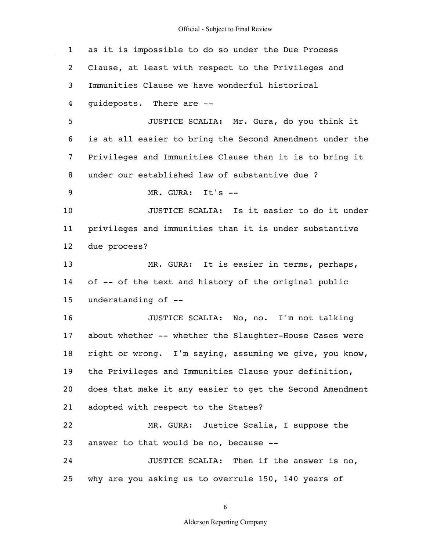$\hat{\mathcal{A}}$ 

| $\mathbf{1}$    | as it is impossible to do so under the Due Process       |
|-----------------|----------------------------------------------------------|
| 2               | Clause, at least with respect to the Privileges and      |
| 3               | Immunities Clause we have wonderful historical           |
| 4               | quideposts. There are --                                 |
| 5               | JUSTICE SCALIA: Mr. Gura, do you think it                |
| 6               | is at all easier to bring the Second Amendment under the |
| 7               | Privileges and Immunities Clause than it is to bring it  |
| 8               | under our established law of substantive due ?           |
| 9               | MR. GURA: It's --                                        |
| 10              | JUSTICE SCALIA: Is it easier to do it under              |
| 11              | privileges and immunities than it is under substantive   |
| 12 <sub>2</sub> | due process?                                             |
| 13              | MR. GURA: It is easier in terms, perhaps,                |
| 14              | of -- of the text and history of the original public     |
| 15              | understanding of --                                      |
| 16              | JUSTICE SCALIA: No, no. I'm not talking                  |
| 17              | about whether -- whether the Slaughter-House Cases were  |
| 18              | right or wrong. I'm saying, assuming we give, you know,  |
| 19              | the Privileges and Immunities Clause your definition,    |
| 20              | does that make it any easier to get the Second Amendment |
| 21              | adopted with respect to the States?                      |
| 22              | MR. GURA: Justice Scalia, I suppose the                  |
| 23              | answer to that would be no, because --                   |
| 24              | JUSTICE SCALIA: Then if the answer is no,                |
| 25              | why are you asking us to overrule 150, 140 years of      |

6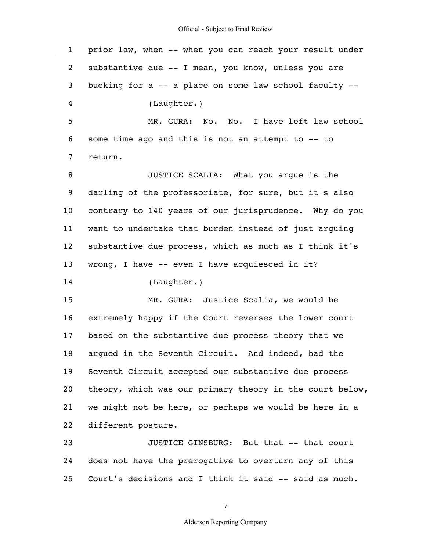1 2 3 4 5 6 7 8 9 10 11 12 13 14 15 16 17 18 19 20 21 22 23 24 prior law, when -- when you can reach your result under substantive due -- I mean, you know, unless you are bucking for a -- a place on some law school faculty -- (Laughter.) MR. GURA: No. No. I have left law school some time ago and this is not an attempt to -- to return. JUSTICE SCALIA: What you argue is the darling of the professoriate, for sure, but it's also contrary to 140 years of our jurisprudence. Why do you want to undertake that burden instead of just arguing substantive due process, which as much as I think it's wrong, I have -- even I have acquiesced in it? (Laughter.) MR. GURA: Justice Scalia, we would be extremely happy if the Court reverses the lower court based on the substantive due process theory that we argued in the Seventh Circuit. And indeed, had the Seventh Circuit accepted our substantive due process theory, which was our primary theory in the court below, we might not be here, or perhaps we would be here in a different posture. JUSTICE GINSBURG: But that -- that court does not have the prerogative to overturn any of this

25 Court's decisions and I think it said -- said as much.

7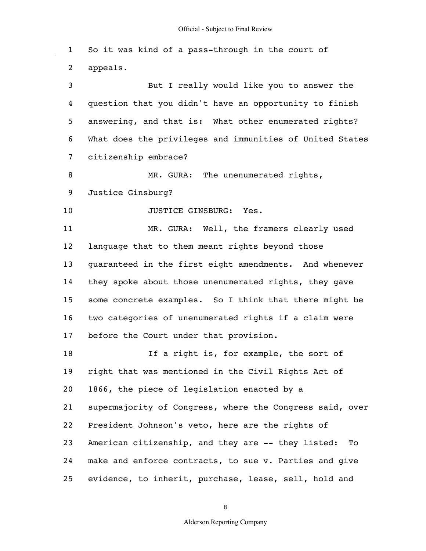1 2 3 4 5 6 7 8 9 10 11 12 13 14 15 16 17 18 19 20 21 22 23 24 25 So it was kind of a pass-through in the court of appeals. But I really would like you to answer the question that you didn't have an opportunity to finish answering, and that is: What other enumerated rights? What does the privileges and immunities of United States citizenship embrace? MR. GURA: The unenumerated rights, Justice Ginsburg? JUSTICE GINSBURG: Yes. MR. GURA: Well, the framers clearly used language that to them meant rights beyond those guaranteed in the first eight amendments. And whenever they spoke about those unenumerated rights, they gave some concrete examples. So I think that there might be two categories of unenumerated rights if a claim were before the Court under that provision. If a right is, for example, the sort of right that was mentioned in the Civil Rights Act of 1866, the piece of legislation enacted by a supermajority of Congress, where the Congress said, over President Johnson's veto, here are the rights of American citizenship, and they are -- they listed: To make and enforce contracts, to sue v. Parties and give evidence, to inherit, purchase, lease, sell, hold and

8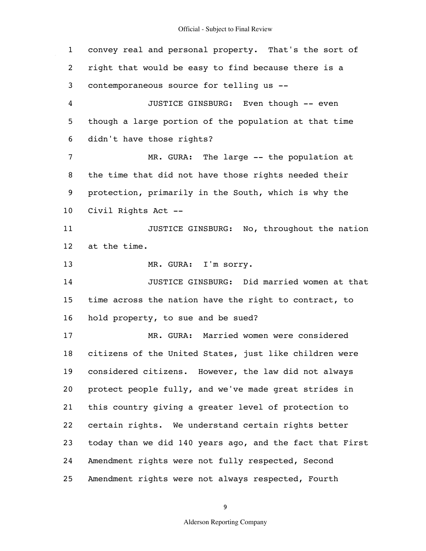$\hat{\mathcal{A}}$ 

| $\mathbf{1}$    | convey real and personal property. That's the sort of    |
|-----------------|----------------------------------------------------------|
| 2               | right that would be easy to find because there is a      |
| 3               | contemporaneous source for telling us --                 |
| 4               | JUSTICE GINSBURG: Even though -- even                    |
| 5               | though a large portion of the population at that time    |
| 6               | didn't have those rights?                                |
| 7               | MR. GURA: The large -- the population at                 |
| 8               | the time that did not have those rights needed their     |
| 9               | protection, primarily in the South, which is why the     |
| 10 <sub>1</sub> | Civil Rights Act --                                      |
| 11              | JUSTICE GINSBURG: No, throughout the nation              |
| 12 <sub>2</sub> | at the time.                                             |
| 13              | MR. GURA: I'm sorry.                                     |
| 14              | JUSTICE GINSBURG: Did married women at that              |
| 15              | time across the nation have the right to contract, to    |
| 16              | hold property, to sue and be sued?                       |
| 17              | MR. GURA: Married women were considered                  |
| 18              | citizens of the United States, just like children were   |
| 19              | considered citizens. However, the law did not always     |
| 20              | protect people fully, and we've made great strides in    |
| 21              | this country giving a greater level of protection to     |
| 22              | certain rights. We understand certain rights better      |
| 23              | today than we did 140 years ago, and the fact that First |
| 24              | Amendment rights were not fully respected, Second        |
| 25              | Amendment rights were not always respected, Fourth       |

9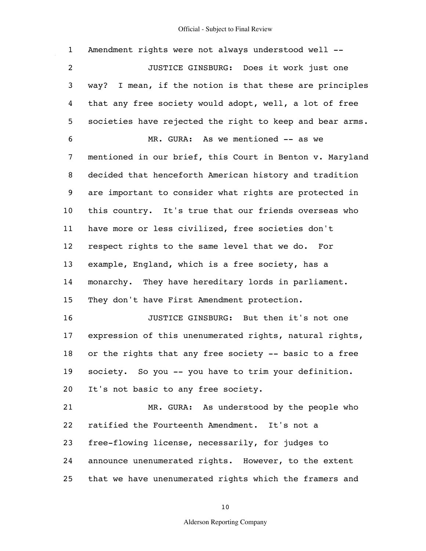$\hat{\mathcal{A}}$ 

| $\mathbf{1}$    | Amendment rights were not always understood well --      |
|-----------------|----------------------------------------------------------|
| $\overline{2}$  | JUSTICE GINSBURG: Does it work just one                  |
| 3               | way? I mean, if the notion is that these are principles  |
| 4               | that any free society would adopt, well, a lot of free   |
| 5               | societies have rejected the right to keep and bear arms. |
| 6               | MR. GURA: As we mentioned -- as we                       |
| 7               | mentioned in our brief, this Court in Benton v. Maryland |
| 8               | decided that henceforth American history and tradition   |
| 9               | are important to consider what rights are protected in   |
| 10 <sub>1</sub> | this country. It's true that our friends overseas who    |
| 11              | have more or less civilized, free societies don't        |
| 12              | respect rights to the same level that we do. For         |
| 13              | example, England, which is a free society, has a         |
| 14              | monarchy. They have hereditary lords in parliament.      |
| 15              | They don't have First Amendment protection.              |
| 16              | JUSTICE GINSBURG: But then it's not one                  |
| 17              | expression of this unenumerated rights, natural rights,  |
| 18              | or the rights that any free society -- basic to a free   |
| 19              | society. So you -- you have to trim your definition.     |
| 20              | It's not basic to any free society.                      |
| 21              | MR. GURA: As understood by the people who                |
| 22              | ratified the Fourteenth Amendment. It's not a            |
| 23              | free-flowing license, necessarily, for judges to         |
| 24              | announce unenumerated rights. However, to the extent     |
| 25              | that we have unenumerated rights which the framers and   |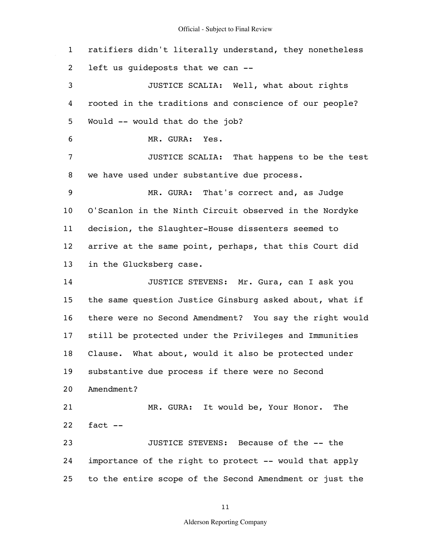1 2 3 4 5 6 7 8 9 10 11 12 13 14 15 16 17 18 19 20 21 22 23 24 25 ratifiers didn't literally understand, they nonetheless left us guideposts that we can -- JUSTICE SCALIA: Well, what about rights rooted in the traditions and conscience of our people? Would -- would that do the job? MR. GURA: Yes. JUSTICE SCALIA: That happens to be the test we have used under substantive due process. MR. GURA: That's correct and, as Judge O'Scanlon in the Ninth Circuit observed in the Nordyke decision, the Slaughter-House dissenters seemed to arrive at the same point, perhaps, that this Court did in the Glucksberg case. JUSTICE STEVENS: Mr. Gura, can I ask you the same question Justice Ginsburg asked about, what if there were no Second Amendment? You say the right would still be protected under the Privileges and Immunities Clause. What about, would it also be protected under substantive due process if there were no Second Amendment? MR. GURA: It would be, Your Honor. The fact -- JUSTICE STEVENS: Because of the -- the importance of the right to protect -- would that apply to the entire scope of the Second Amendment or just the

11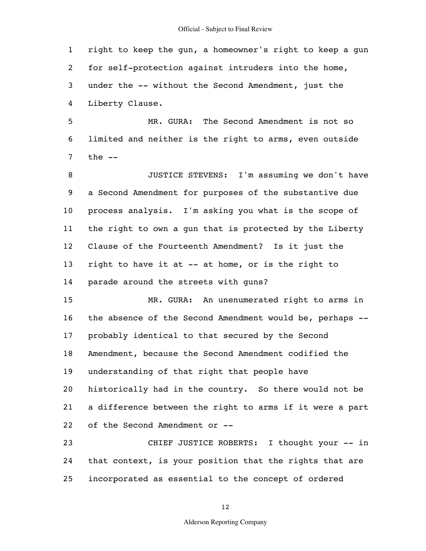

1 2 3 4 right to keep the gun, a homeowner's right to keep a gun for self-protection against intruders into the home, under the -- without the Second Amendment, just the Liberty Clause.

5 6 7 MR. GURA: The Second Amendment is not so limited and neither is the right to arms, even outside the --

8 9 10 11 12 13 14 JUSTICE STEVENS: I'm assuming we don't have a Second Amendment for purposes of the substantive due process analysis. I'm asking you what is the scope of the right to own a gun that is protected by the Liberty Clause of the Fourteenth Amendment? Is it just the right to have it at -- at home, or is the right to parade around the streets with guns?

15 16 17 18 19 20 21 22 MR. GURA: An unenumerated right to arms in the absence of the Second Amendment would be, perhaps - probably identical to that secured by the Second Amendment, because the Second Amendment codified the understanding of that right that people have historically had in the country. So there would not be a difference between the right to arms if it were a part of the Second Amendment or --

23 24 25 CHIEF JUSTICE ROBERTS: I thought your -- in that context, is your position that the rights that are incorporated as essential to the concept of ordered

12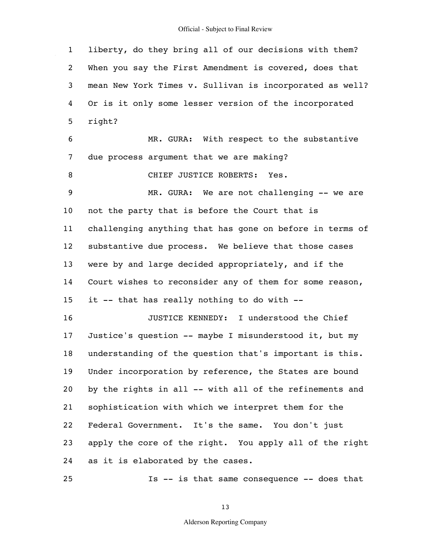1 2 3 4 5 6 7 8 9 10 11 12 13 14 15 16 17 18 19 20 21 22 23 24 liberty, do they bring all of our decisions with them? When you say the First Amendment is covered, does that mean New York Times v. Sullivan is incorporated as well? Or is it only some lesser version of the incorporated right? MR. GURA: With respect to the substantive due process argument that we are making? CHIEF JUSTICE ROBERTS: Yes. MR. GURA: We are not challenging -- we are not the party that is before the Court that is challenging anything that has gone on before in terms of substantive due process. We believe that those cases were by and large decided appropriately, and if the Court wishes to reconsider any of them for some reason, it -- that has really nothing to do with --JUSTICE KENNEDY: I understood the Chief Justice's question -- maybe I misunderstood it, but my understanding of the question that's important is this. Under incorporation by reference, the States are bound by the rights in all -- with all of the refinements and sophistication with which we interpret them for the Federal Government. It's the same. You don't just apply the core of the right. You apply all of the right as it is elaborated by the cases.

Is -- is that same consequence -- does that

25

13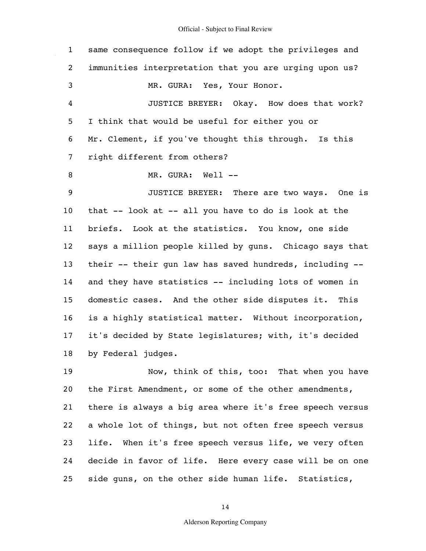$\hat{\mathcal{A}}$ 

| $\mathbf{1}$      | same consequence follow if we adopt the privileges and   |
|-------------------|----------------------------------------------------------|
| $\overline{2}$    | immunities interpretation that you are urging upon us?   |
| 3                 | MR. GURA: Yes, Your Honor.                               |
| 4                 | JUSTICE BREYER: Okay. How does that work?                |
| 5                 | I think that would be useful for either you or           |
| 6                 | Mr. Clement, if you've thought this through. Is this     |
| 7                 | right different from others?                             |
| 8                 | MR. GURA: Well --                                        |
| 9                 | JUSTICE BREYER: There are two ways. One is               |
| 10                | that -- look at -- all you have to do is look at the     |
| 11                | briefs. Look at the statistics. You know, one side       |
| $12 \overline{ }$ | says a million people killed by guns. Chicago says that  |
| 13                | their -- their gun law has saved hundreds, including --  |
| 14                | and they have statistics -- including lots of women in   |
| 15                | domestic cases. And the other side disputes it. This     |
| 16                | is a highly statistical matter. Without incorporation,   |
| 17                | it's decided by State legislatures; with, it's decided   |
| 18                | by Federal judges.                                       |
| 19                | Now, think of this, too: That when you have              |
| 20                | the First Amendment, or some of the other amendments,    |
| 21                | there is always a big area where it's free speech versus |
| 22                | a whole lot of things, but not often free speech versus  |
| 23                | life. When it's free speech versus life, we very often   |
| 24                | decide in favor of life. Here every case will be on one  |
| 25                | side guns, on the other side human life. Statistics,     |

14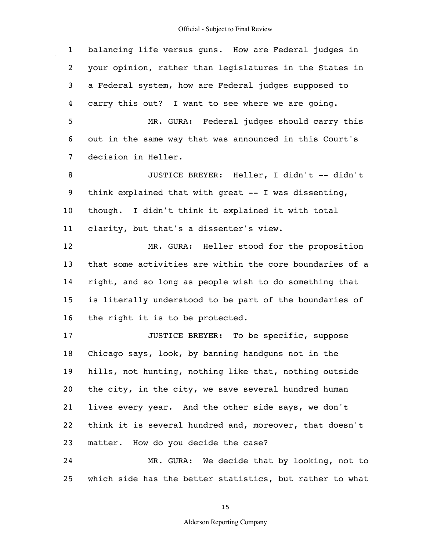1 2 3 4 5 6 7 8 9 10 11 12 13 14 15 16 17 18 19 20 21 22 23 24 25 balancing life versus guns. How are Federal judges in your opinion, rather than legislatures in the States in a Federal system, how are Federal judges supposed to carry this out? I want to see where we are going. MR. GURA: Federal judges should carry this out in the same way that was announced in this Court's decision in Heller. JUSTICE BREYER: Heller, I didn't -- didn't think explained that with great -- I was dissenting, though. I didn't think it explained it with total clarity, but that's a dissenter's view. MR. GURA: Heller stood for the proposition that some activities are within the core boundaries of a right, and so long as people wish to do something that is literally understood to be part of the boundaries of the right it is to be protected. JUSTICE BREYER: To be specific, suppose Chicago says, look, by banning handguns not in the hills, not hunting, nothing like that, nothing outside the city, in the city, we save several hundred human lives every year. And the other side says, we don't think it is several hundred and, moreover, that doesn't matter. How do you decide the case? MR. GURA: We decide that by looking, not to which side has the better statistics, but rather to what

15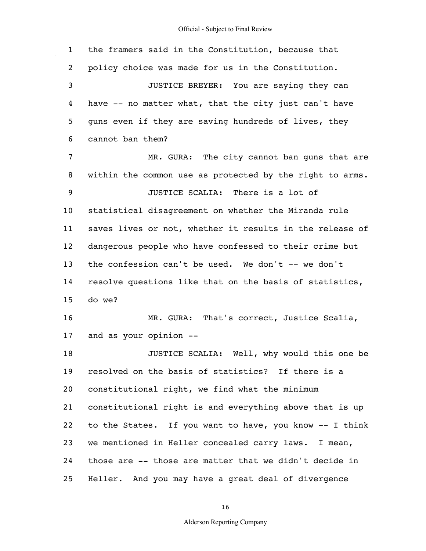$\hat{\mathcal{A}}$ 

| $\mathbf{1}$    | the framers said in the Constitution, because that       |
|-----------------|----------------------------------------------------------|
| 2               | policy choice was made for us in the Constitution.       |
| 3               | JUSTICE BREYER: You are saying they can                  |
| 4               | have -- no matter what, that the city just can't have    |
| 5               | quns even if they are saving hundreds of lives, they     |
| 6               | cannot ban them?                                         |
| 7               | MR. GURA: The city cannot ban guns that are              |
| 8               | within the common use as protected by the right to arms. |
| 9               | JUSTICE SCALIA: There is a lot of                        |
| 10 <sub>o</sub> | statistical disagreement on whether the Miranda rule     |
| 11              | saves lives or not, whether it results in the release of |
| 12 <sub>2</sub> | dangerous people who have confessed to their crime but   |
| 13              | the confession can't be used. We don't -- we don't       |
| 14              | resolve questions like that on the basis of statistics,  |
| 15              | do we?                                                   |
| 16              | MR. GURA: That's correct, Justice Scalia,                |
| 17              | and as your opinion --                                   |
| 18              | JUSTICE SCALIA: Well, why would this one be              |
| 19              | resolved on the basis of statistics? If there is a       |
| 20              | constitutional right, we find what the minimum           |
| 21              | constitutional right is and everything above that is up  |
| 22              | to the States. If you want to have, you know -- I think  |
| 23              | we mentioned in Heller concealed carry laws. I mean,     |
| 24              | those are -- those are matter that we didn't decide in   |
| 25              | Heller. And you may have a great deal of divergence      |

16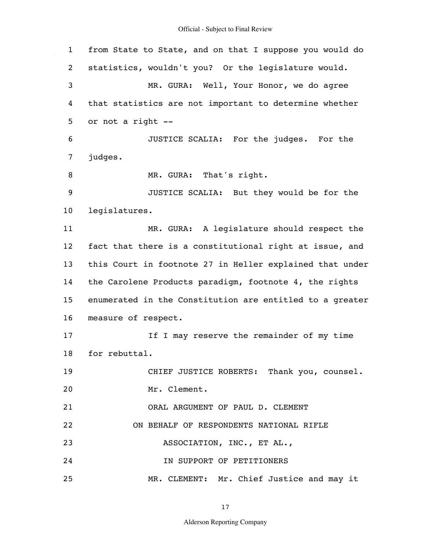1 2 3 4 5 6 7 8 9 10 11 12 13 14 15 16 17 18 19 20 21 22 23 24 25 from State to State, and on that I suppose you would do statistics, wouldn't you? Or the legislature would. MR. GURA: Well, Your Honor, we do agree that statistics are not important to determine whether or not a right -- JUSTICE SCALIA: For the judges. For the judges. MR. GURA: That's right. JUSTICE SCALIA: But they would be for the legislatures. MR. GURA: A legislature should respect the fact that there is a constitutional right at issue, and this Court in footnote 27 in Heller explained that under the Carolene Products paradigm, footnote 4, the rights enumerated in the Constitution are entitled to a greater measure of respect. If I may reserve the remainder of my time for rebuttal. CHIEF JUSTICE ROBERTS: Thank you, counsel. Mr. Clement. ORAL ARGUMENT OF PAUL D. CLEMENT ON BEHALF OF RESPONDENTS NATIONAL RIFLE ASSOCIATION, INC., ET AL., IN SUPPORT OF PETITIONERS MR. CLEMENT: Mr. Chief Justice and may it

17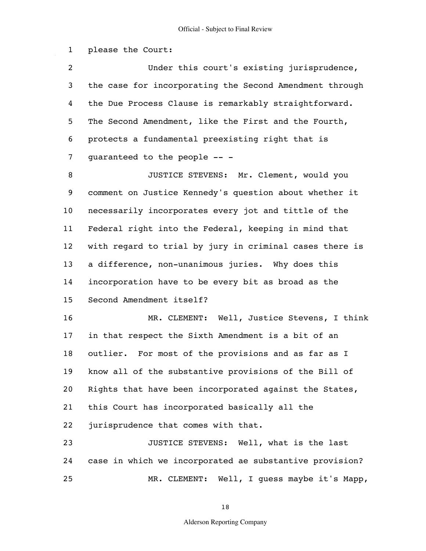1 2 3 4 5 6 7 8 9 10 11 12 13 14 15 16 17 18 19 20 21 22 23 24 25 please the Court: Under this court's existing jurisprudence, the case for incorporating the Second Amendment through the Due Process Clause is remarkably straightforward. The Second Amendment, like the First and the Fourth, protects a fundamental preexisting right that is guaranteed to the people -- - JUSTICE STEVENS: Mr. Clement, would you comment on Justice Kennedy's question about whether it necessarily incorporates every jot and tittle of the Federal right into the Federal, keeping in mind that with regard to trial by jury in criminal cases there is a difference, non-unanimous juries. Why does this incorporation have to be every bit as broad as the Second Amendment itself? MR. CLEMENT: Well, Justice Stevens, I think in that respect the Sixth Amendment is a bit of an outlier. For most of the provisions and as far as I know all of the substantive provisions of the Bill of Rights that have been incorporated against the States, this Court has incorporated basically all the jurisprudence that comes with that. JUSTICE STEVENS: Well, what is the last case in which we incorporated ae substantive provision? MR. CLEMENT: Well, I guess maybe it's Mapp,

18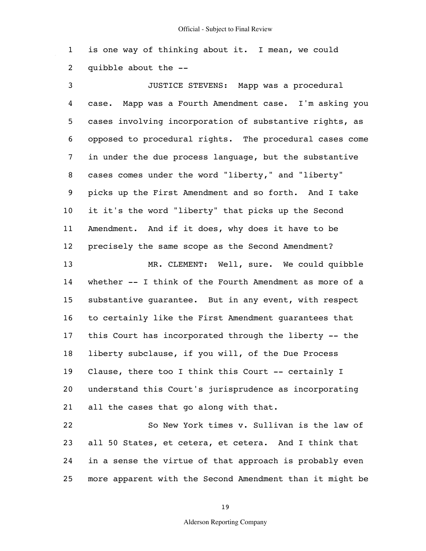1 2 is one way of thinking about it. I mean, we could quibble about the --

3 4 5 6 7 8 9 10 11 12 13 14 15 16 17 18 19 20 21 JUSTICE STEVENS: Mapp was a procedural case. Mapp was a Fourth Amendment case. I'm asking you cases involving incorporation of substantive rights, as opposed to procedural rights. The procedural cases come in under the due process language, but the substantive cases comes under the word "liberty," and "liberty" picks up the First Amendment and so forth. And I take it it's the word "liberty" that picks up the Second Amendment. And if it does, why does it have to be precisely the same scope as the Second Amendment? MR. CLEMENT: Well, sure. We could quibble whether -- I think of the Fourth Amendment as more of a substantive guarantee. But in any event, with respect to certainly like the First Amendment guarantees that this Court has incorporated through the liberty -- the liberty subclause, if you will, of the Due Process Clause, there too I think this Court -- certainly I understand this Court's jurisprudence as incorporating all the cases that go along with that.

22 23 24 25 So New York times v. Sullivan is the law of all 50 States, et cetera, et cetera. And I think that in a sense the virtue of that approach is probably even more apparent with the Second Amendment than it might be

19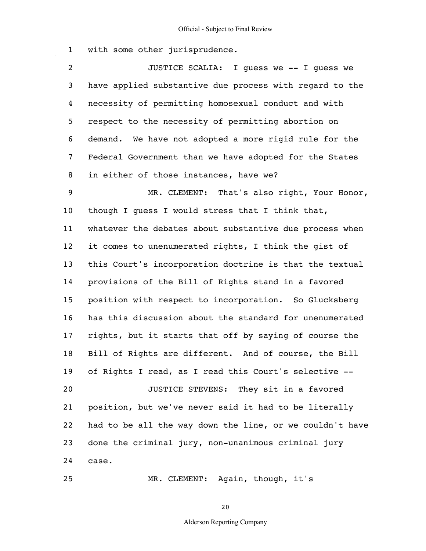1 with some other jurisprudence.

2 3 4 5 6 7 8 JUSTICE SCALIA: I guess we -- I guess we have applied substantive due process with regard to the necessity of permitting homosexual conduct and with respect to the necessity of permitting abortion on demand. We have not adopted a more rigid rule for the Federal Government than we have adopted for the States in either of those instances, have we?

9 10 11 12 13 14 15 16 17 18 19 20 21 22 23 24 MR. CLEMENT: That's also right, Your Honor, though I guess I would stress that I think that, whatever the debates about substantive due process when it comes to unenumerated rights, I think the gist of this Court's incorporation doctrine is that the textual provisions of the Bill of Rights stand in a favored position with respect to incorporation. So Glucksberg has this discussion about the standard for unenumerated rights, but it starts that off by saying of course the Bill of Rights are different. And of course, the Bill of Rights I read, as I read this Court's selective -- JUSTICE STEVENS: They sit in a favored position, but we've never said it had to be literally had to be all the way down the line, or we couldn't have done the criminal jury, non-unanimous criminal jury case.

MR. CLEMENT: Again, though, it's

25

20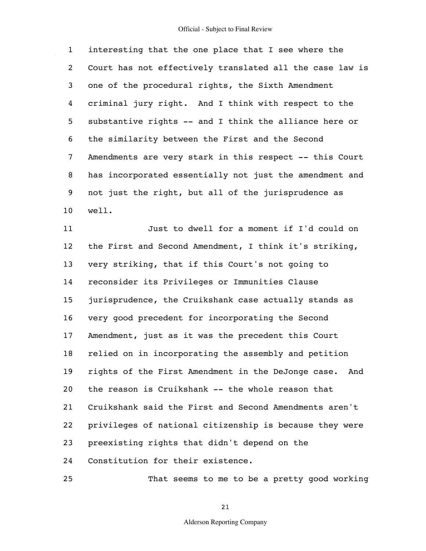1 2 3 4 5 6 7 8 9 10 interesting that the one place that I see where the Court has not effectively translated all the case law is one of the procedural rights, the Sixth Amendment criminal jury right. And I think with respect to the substantive rights -- and I think the alliance here or the similarity between the First and the Second Amendments are very stark in this respect -- this Court has incorporated essentially not just the amendment and not just the right, but all of the jurisprudence as well.

11 12 13 14 15 16 17 18 19 20 21 22 23 24 Just to dwell for a moment if I'd could on the First and Second Amendment, I think it's striking, very striking, that if this Court's not going to reconsider its Privileges or Immunities Clause jurisprudence, the Cruikshank case actually stands as very good precedent for incorporating the Second Amendment, just as it was the precedent this Court relied on in incorporating the assembly and petition rights of the First Amendment in the DeJonge case. And the reason is Cruikshank -- the whole reason that Cruikshank said the First and Second Amendments aren't privileges of national citizenship is because they were preexisting rights that didn't depend on the Constitution for their existence.

That seems to me to be a pretty good working

25

21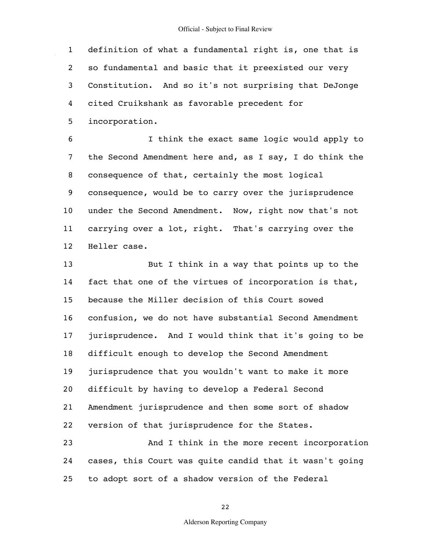1 2 3 4 definition of what a fundamental right is, one that is so fundamental and basic that it preexisted our very Constitution. And so it's not surprising that DeJonge cited Cruikshank as favorable precedent for

5 incorporation.

6 7 8 9 10 11 12 I think the exact same logic would apply to the Second Amendment here and, as I say, I do think the consequence of that, certainly the most logical consequence, would be to carry over the jurisprudence under the Second Amendment. Now, right now that's not carrying over a lot, right. That's carrying over the Heller case.

13 14 15 16 17 18 19 20 21 22 23 But I think in a way that points up to the fact that one of the virtues of incorporation is that, because the Miller decision of this Court sowed confusion, we do not have substantial Second Amendment jurisprudence. And I would think that it's going to be difficult enough to develop the Second Amendment jurisprudence that you wouldn't want to make it more difficult by having to develop a Federal Second Amendment jurisprudence and then some sort of shadow version of that jurisprudence for the States. And I think in the more recent incorporation

24 25 cases, this Court was quite candid that it wasn't going to adopt sort of a shadow version of the Federal

22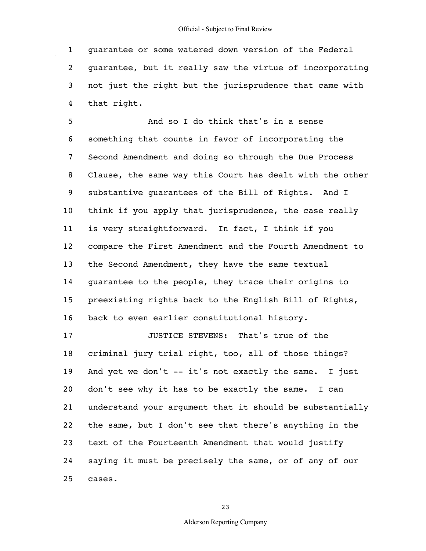1 2 3 4 guarantee or some watered down version of the Federal guarantee, but it really saw the virtue of incorporating not just the right but the jurisprudence that came with that right.

5 6 7 8 9 10 11 12 13 14 15 16 17 18 19 20 21 22 23 24 And so I do think that's in a sense something that counts in favor of incorporating the Second Amendment and doing so through the Due Process Clause, the same way this Court has dealt with the other substantive guarantees of the Bill of Rights. And I think if you apply that jurisprudence, the case really is very straightforward. In fact, I think if you compare the First Amendment and the Fourth Amendment to the Second Amendment, they have the same textual guarantee to the people, they trace their origins to preexisting rights back to the English Bill of Rights, back to even earlier constitutional history. JUSTICE STEVENS: That's true of the criminal jury trial right, too, all of those things? And yet we don't -- it's not exactly the same. I just don't see why it has to be exactly the same. I can understand your argument that it should be substantially the same, but I don't see that there's anything in the text of the Fourteenth Amendment that would justify saying it must be precisely the same, or of any of our

25 cases.

23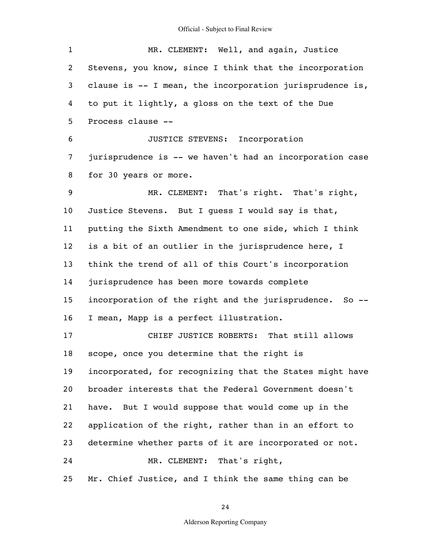$\mathcal{L}_{\mathcal{A}}$ 

| $\mathbf{1}$      | MR. CLEMENT: Well, and again, Justice                    |
|-------------------|----------------------------------------------------------|
| $\overline{a}$    | Stevens, you know, since I think that the incorporation  |
| 3                 | clause is -- I mean, the incorporation jurisprudence is, |
| 4                 | to put it lightly, a gloss on the text of the Due        |
| 5                 | Process clause --                                        |
| 6                 | JUSTICE STEVENS: Incorporation                           |
| 7                 | jurisprudence is -- we haven't had an incorporation case |
| 8                 | for 30 years or more.                                    |
| 9                 | MR. CLEMENT: That's right. That's right,                 |
| 10                | Justice Stevens. But I guess I would say is that,        |
| 11                | putting the Sixth Amendment to one side, which I think   |
| $12 \overline{ }$ | is a bit of an outlier in the jurisprudence here, I      |
| 13                | think the trend of all of this Court's incorporation     |
| 14                | jurisprudence has been more towards complete             |
| 15                | incorporation of the right and the jurisprudence. So --  |
| 16                | I mean, Mapp is a perfect illustration.                  |
| 17                | CHIEF JUSTICE ROBERTS: That still allows                 |
| 18                | scope, once you determine that the right is              |
| 19                | incorporated, for recognizing that the States might have |
| 20                | broader interests that the Federal Government doesn't    |
| 21                | have. But I would suppose that would come up in the      |
| 22                | application of the right, rather than in an effort to    |
| 23                | determine whether parts of it are incorporated or not.   |
| 24                | MR. CLEMENT: That's right,                               |
| 25                | Mr. Chief Justice, and I think the same thing can be     |

24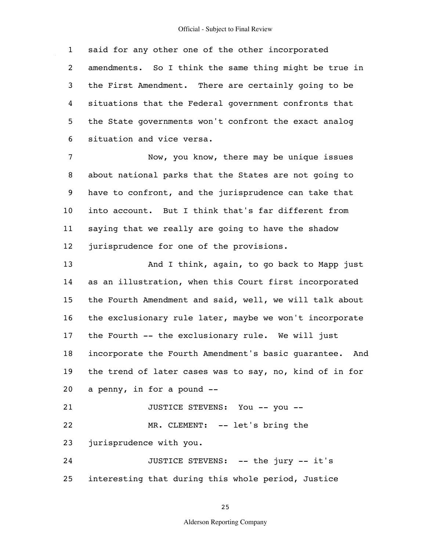1 2 3 4 5 6 said for any other one of the other incorporated amendments. So I think the same thing might be true in the First Amendment. There are certainly going to be situations that the Federal government confronts that the State governments won't confront the exact analog situation and vice versa.

7 8 9 10 11 12 Now, you know, there may be unique issues about national parks that the States are not going to have to confront, and the jurisprudence can take that into account. But I think that's far different from saying that we really are going to have the shadow jurisprudence for one of the provisions.

13 14 15 16 17 18 19 20 21 22 And I think, again, to go back to Mapp just as an illustration, when this Court first incorporated the Fourth Amendment and said, well, we will talk about the exclusionary rule later, maybe we won't incorporate the Fourth -- the exclusionary rule. We will just incorporate the Fourth Amendment's basic guarantee. And the trend of later cases was to say, no, kind of in for a penny, in for a pound -- JUSTICE STEVENS: You -- you -- MR. CLEMENT: -- let's bring the

23 jurisprudence with you.

24 25 JUSTICE STEVENS: -- the jury -- it's interesting that during this whole period, Justice

25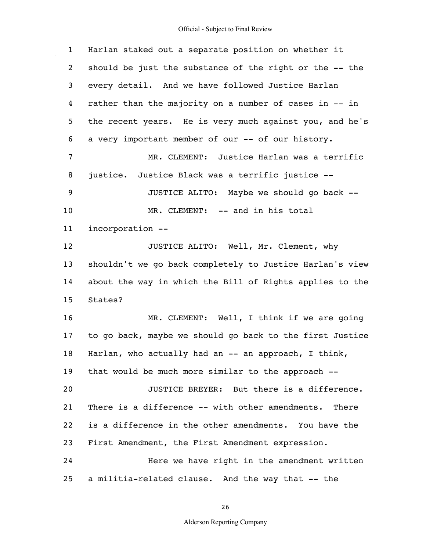$\hat{\mathcal{A}}$ 

| $\mathbf{1}$   | Harlan staked out a separate position on whether it      |
|----------------|----------------------------------------------------------|
| $\overline{2}$ | should be just the substance of the right or the -- the  |
| 3              | every detail. And we have followed Justice Harlan        |
| 4              | rather than the majority on a number of cases in -- in   |
| 5              | the recent years. He is very much against you, and he's  |
| 6              | a very important member of our -- of our history.        |
| 7              | MR. CLEMENT: Justice Harlan was a terrific               |
| 8              | justice. Justice Black was a terrific justice --         |
| 9              | JUSTICE ALITO: Maybe we should go back --                |
| 10             | MR. CLEMENT: -- and in his total                         |
| 11             | incorporation --                                         |
| 12             | JUSTICE ALITO: Well, Mr. Clement, why                    |
| 13             | shouldn't we go back completely to Justice Harlan's view |
| 14             | about the way in which the Bill of Rights applies to the |
| 15             | States?                                                  |
| 16             | MR. CLEMENT: Well, I think if we are going               |
| 17             | to go back, maybe we should go back to the first Justice |
| 18             | Harlan, who actually had an -- an approach, I think,     |
| 19             | that would be much more similar to the approach --       |
| 20             | JUSTICE BREYER: But there is a difference.               |
| 21             | There is a difference -- with other amendments. There    |
| 22             | is a difference in the other amendments. You have the    |
| 23             | First Amendment, the First Amendment expression.         |
| 24             | Here we have right in the amendment written              |
| 25             | a militia-related clause. And the way that -- the        |

26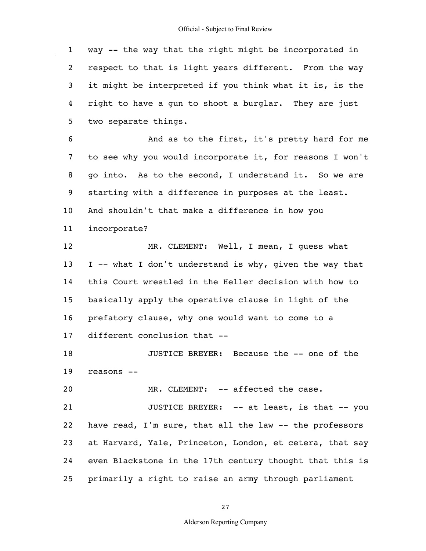1 2 3 4 5 way -- the way that the right might be incorporated in respect to that is light years different. From the way it might be interpreted if you think what it is, is the right to have a gun to shoot a burglar. They are just two separate things.

6 7 8 9 10 11 And as to the first, it's pretty hard for me to see why you would incorporate it, for reasons I won't go into. As to the second, I understand it. So we are starting with a difference in purposes at the least. And shouldn't that make a difference in how you incorporate?

12 13 14 15 16 17 MR. CLEMENT: Well, I mean, I guess what I -- what I don't understand is why, given the way that this Court wrestled in the Heller decision with how to basically apply the operative clause in light of the prefatory clause, why one would want to come to a different conclusion that --

18 19 JUSTICE BREYER: Because the -- one of the reasons --

20 MR. CLEMENT: -- affected the case.

21 22 23 24 25 JUSTICE BREYER: -- at least, is that -- you have read, I'm sure, that all the law -- the professors at Harvard, Yale, Princeton, London, et cetera, that say even Blackstone in the 17th century thought that this is primarily a right to raise an army through parliament

27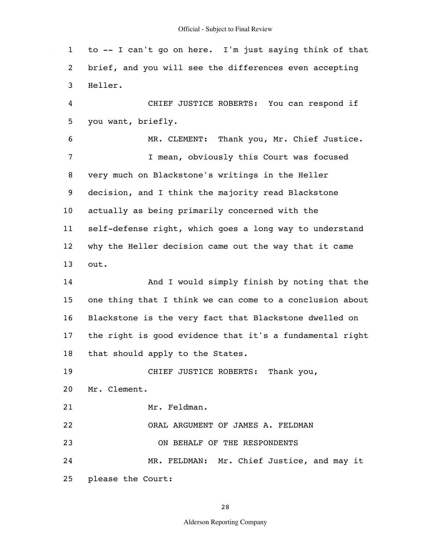1 2 3 4 5 6 7 8 9 10 11 12 13 14 15 16 17 18 19 20 21 22 23 24 25 to -- I can't go on here. I'm just saying think of that brief, and you will see the differences even accepting Heller. CHIEF JUSTICE ROBERTS: You can respond if you want, briefly. MR. CLEMENT: Thank you, Mr. Chief Justice. I mean, obviously this Court was focused very much on Blackstone's writings in the Heller decision, and I think the majority read Blackstone actually as being primarily concerned with the self-defense right, which goes a long way to understand why the Heller decision came out the way that it came out. And I would simply finish by noting that the one thing that I think we can come to a conclusion about Blackstone is the very fact that Blackstone dwelled on the right is good evidence that it's a fundamental right that should apply to the States. CHIEF JUSTICE ROBERTS: Thank you, Mr. Clement. Mr. Feldman. ORAL ARGUMENT OF JAMES A. FELDMAN ON BEHALF OF THE RESPONDENTS MR. FELDMAN: Mr. Chief Justice, and may it please the Court:

28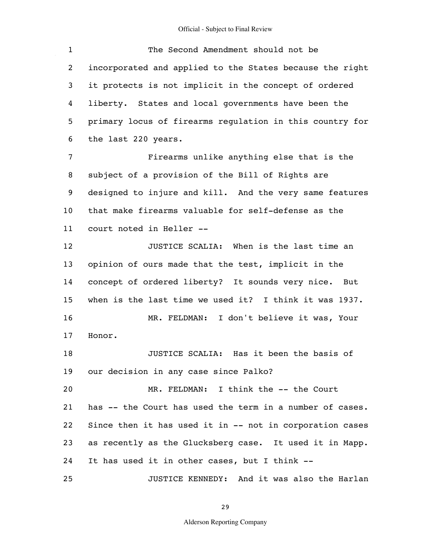$\mathcal{L}^{\mathcal{L}}$ 

| $\mathbf{1}$   | The Second Amendment should not be                       |
|----------------|----------------------------------------------------------|
| $\overline{2}$ | incorporated and applied to the States because the right |
| 3              | it protects is not implicit in the concept of ordered    |
| 4              | liberty. States and local governments have been the      |
| 5              | primary locus of firearms regulation in this country for |
| 6              | the last 220 years.                                      |
| 7              | Firearms unlike anything else that is the                |
| 8              | subject of a provision of the Bill of Rights are         |
| 9              | designed to injure and kill. And the very same features  |
| 10             | that make firearms valuable for self-defense as the      |
| 11             | court noted in Heller --                                 |
| 12             | JUSTICE SCALIA: When is the last time an                 |
| 13             | opinion of ours made that the test, implicit in the      |
| 14             | concept of ordered liberty? It sounds very nice. But     |
| 15             | when is the last time we used it? I think it was 1937.   |
| 16             | MR. FELDMAN: I don't believe it was, Your                |
| 17             | Honor.                                                   |
| 18             | JUSTICE SCALIA: Has it been the basis of                 |
| 19             | our decision in any case since Palko?                    |
| 20             | MR. FELDMAN: I think the -- the Court                    |
| 21             | has -- the Court has used the term in a number of cases. |
| 22             | Since then it has used it in -- not in corporation cases |
| 23             | as recently as the Glucksberg case. It used it in Mapp.  |
| 24             | It has used it in other cases, but I think --            |
| 25             | JUSTICE KENNEDY: And it was also the Harlan              |

29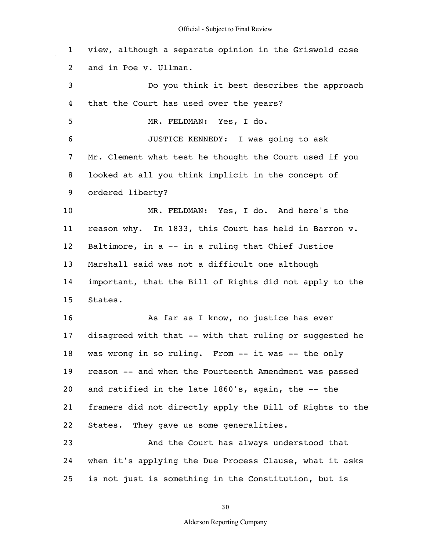1 2 3 4 5 6 7 8 9 10 11 12 13 14 15 16 17 18 19 20 21 22 23 24 25 view, although a separate opinion in the Griswold case and in Poe v. Ullman. Do you think it best describes the approach that the Court has used over the years? MR. FELDMAN: Yes, I do. JUSTICE KENNEDY: I was going to ask Mr. Clement what test he thought the Court used if you looked at all you think implicit in the concept of ordered liberty? MR. FELDMAN: Yes, I do. And here's the reason why. In 1833, this Court has held in Barron v. Baltimore, in a -- in a ruling that Chief Justice Marshall said was not a difficult one although important, that the Bill of Rights did not apply to the States. As far as I know, no justice has ever disagreed with that -- with that ruling or suggested he was wrong in so ruling. From -- it was -- the only reason -- and when the Fourteenth Amendment was passed and ratified in the late 1860's, again, the -- the framers did not directly apply the Bill of Rights to the States. They gave us some generalities. And the Court has always understood that when it's applying the Due Process Clause, what it asks is not just is something in the Constitution, but is

30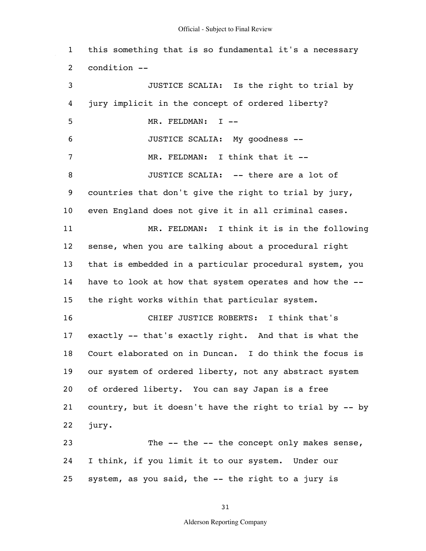1 2 3 4 5 6 7 8 9 10 11 12 13 14 15 16 17 18 19 20 21 22 23 24 25 this something that is so fundamental it's a necessary condition -- JUSTICE SCALIA: Is the right to trial by jury implicit in the concept of ordered liberty? MR. FELDMAN: I --JUSTICE SCALIA: My goodness -- MR. FELDMAN: I think that it --JUSTICE SCALIA: -- there are a lot of countries that don't give the right to trial by jury, even England does not give it in all criminal cases. MR. FELDMAN: I think it is in the following sense, when you are talking about a procedural right that is embedded in a particular procedural system, you have to look at how that system operates and how the - the right works within that particular system. CHIEF JUSTICE ROBERTS: I think that's exactly -- that's exactly right. And that is what the Court elaborated on in Duncan. I do think the focus is our system of ordered liberty, not any abstract system of ordered liberty. You can say Japan is a free country, but it doesn't have the right to trial by -- by jury. The -- the -- the concept only makes sense, I think, if you limit it to our system. Under our system, as you said, the -- the right to a jury is

31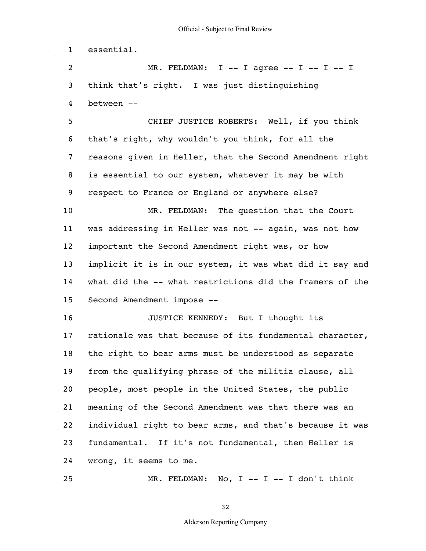1 essential.

25

2 3 4  $MR.$  FELDMAN: I -- I agree -- I -- I -- I think that's right. I was just distinguishing between --

5 6 7 8 9 CHIEF JUSTICE ROBERTS: Well, if you think that's right, why wouldn't you think, for all the reasons given in Heller, that the Second Amendment right is essential to our system, whatever it may be with respect to France or England or anywhere else?

10 11 12 13 14 15 MR. FELDMAN: The question that the Court was addressing in Heller was not -- again, was not how important the Second Amendment right was, or how implicit it is in our system, it was what did it say and what did the -- what restrictions did the framers of the Second Amendment impose --

16 17 18 19 20 21 22 23 24 JUSTICE KENNEDY: But I thought its rationale was that because of its fundamental character, the right to bear arms must be understood as separate from the qualifying phrase of the militia clause, all people, most people in the United States, the public meaning of the Second Amendment was that there was an individual right to bear arms, and that's because it was fundamental. If it's not fundamental, then Heller is wrong, it seems to me.

 $MR. FELDMAN: NO, I -- I -- I don't think$ 

32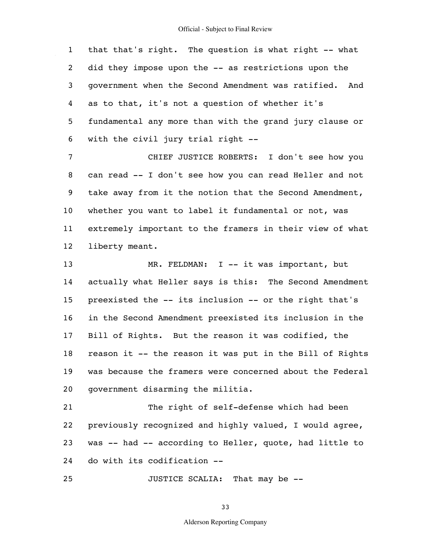1 2 3 4 5 6 that that's right. The question is what right -- what did they impose upon the -- as restrictions upon the government when the Second Amendment was ratified. And as to that, it's not a question of whether it's fundamental any more than with the grand jury clause or with the civil jury trial right --

7 8 9 10 11 12 CHIEF JUSTICE ROBERTS: I don't see how you can read -- I don't see how you can read Heller and not take away from it the notion that the Second Amendment, whether you want to label it fundamental or not, was extremely important to the framers in their view of what liberty meant.

13 14 15 16 17 18 19 20 MR. FELDMAN: I -- it was important, but actually what Heller says is this: The Second Amendment preexisted the -- its inclusion -- or the right that's in the Second Amendment preexisted its inclusion in the Bill of Rights. But the reason it was codified, the reason it -- the reason it was put in the Bill of Rights was because the framers were concerned about the Federal government disarming the militia.

21 22 23 24 The right of self-defense which had been previously recognized and highly valued, I would agree, was -- had -- according to Heller, quote, had little to do with its codification --

25 JUSTICE SCALIA: That may be --

33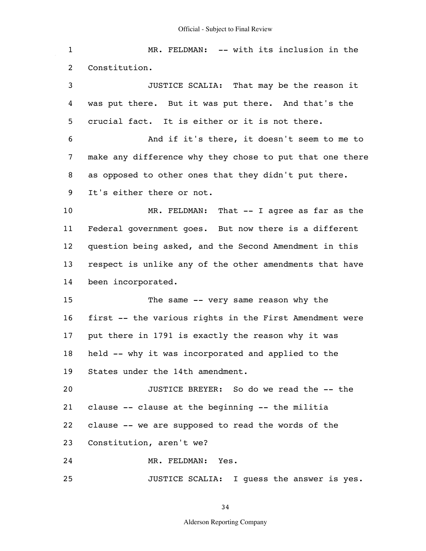1 2 3 4 5 6 7 8 9 10 11 12 13 14 15 16 17 18 19 20 21 22 23 24 25 MR. FELDMAN: -- with its inclusion in the Constitution. JUSTICE SCALIA: That may be the reason it was put there. But it was put there. And that's the crucial fact. It is either or it is not there. And if it's there, it doesn't seem to me to make any difference why they chose to put that one there as opposed to other ones that they didn't put there. It's either there or not. MR. FELDMAN: That -- I agree as far as the Federal government goes. But now there is a different question being asked, and the Second Amendment in this respect is unlike any of the other amendments that have been incorporated. The same -- very same reason why the first -- the various rights in the First Amendment were put there in 1791 is exactly the reason why it was held -- why it was incorporated and applied to the States under the 14th amendment. JUSTICE BREYER: So do we read the -- the clause -- clause at the beginning -- the militia clause -- we are supposed to read the words of the Constitution, aren't we? MR. FELDMAN: Yes. JUSTICE SCALIA: I guess the answer is yes.

34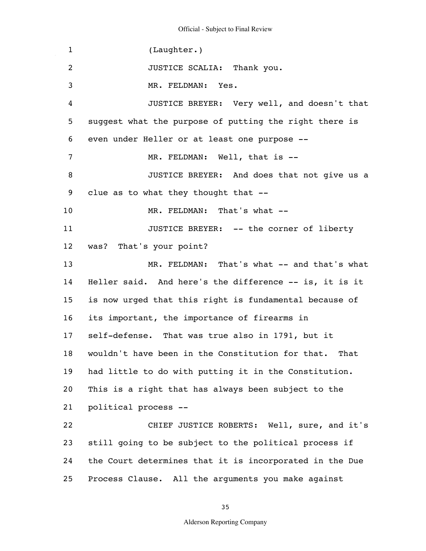1 2 3 4 5 6 7 8 9 10 11 12 13 14 15 16 17 18 19 20 21 22 23 24 25 (Laughter.) JUSTICE SCALIA: Thank you. MR. FELDMAN: Yes. JUSTICE BREYER: Very well, and doesn't that suggest what the purpose of putting the right there is even under Heller or at least one purpose -- MR. FELDMAN: Well, that is -- JUSTICE BREYER: And does that not give us a clue as to what they thought that -- MR. FELDMAN: That's what --JUSTICE BREYER: -- the corner of liberty was? That's your point? MR. FELDMAN: That's what -- and that's what Heller said. And here's the difference -- is, it is it is now urged that this right is fundamental because of its important, the importance of firearms in self-defense. That was true also in 1791, but it wouldn't have been in the Constitution for that. That had little to do with putting it in the Constitution. This is a right that has always been subject to the political process -- CHIEF JUSTICE ROBERTS: Well, sure, and it's still going to be subject to the political process if the Court determines that it is incorporated in the Due Process Clause. All the arguments you make against

35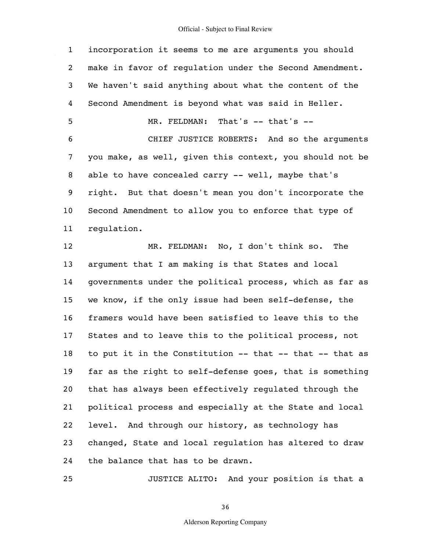1 2 3 4 5 6 7 8 9 10 11 12 13 14 15 16 17 18 19 20 21 22 23 24 incorporation it seems to me are arguments you should make in favor of regulation under the Second Amendment. We haven't said anything about what the content of the Second Amendment is beyond what was said in Heller. MR. FELDMAN: That's -- that's --CHIEF JUSTICE ROBERTS: And so the arguments you make, as well, given this context, you should not be able to have concealed carry -- well, maybe that's right. But that doesn't mean you don't incorporate the Second Amendment to allow you to enforce that type of regulation. MR. FELDMAN: No, I don't think so. The argument that I am making is that States and local governments under the political process, which as far as we know, if the only issue had been self-defense, the framers would have been satisfied to leave this to the States and to leave this to the political process, not to put it in the Constitution -- that -- that -- that as far as the right to self-defense goes, that is something that has always been effectively regulated through the political process and especially at the State and local level. And through our history, as technology has changed, State and local regulation has altered to draw the balance that has to be drawn.

36

JUSTICE ALITO: And your position is that a

25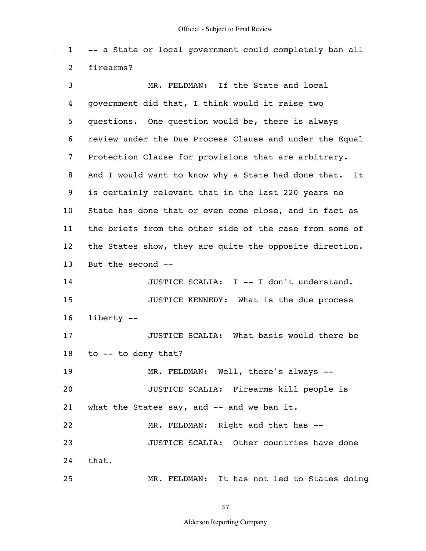1 2 -- a State or local government could completely ban all firearms?

3 4 5 6 7 8 9 10 11 12 13 14 15 16 17 18 19 20 21 22 23 24 25 MR. FELDMAN: If the State and local government did that, I think would it raise two questions. One question would be, there is always review under the Due Process Clause and under the Equal Protection Clause for provisions that are arbitrary. And I would want to know why a State had done that. It is certainly relevant that in the last 220 years no State has done that or even come close, and in fact as the briefs from the other side of the case from some of the States show, they are quite the opposite direction. But the second -- JUSTICE SCALIA: I -- I don't understand. JUSTICE KENNEDY: What is the due process liberty -- JUSTICE SCALIA: What basis would there be to -- to deny that? MR. FELDMAN: Well, there's always -- JUSTICE SCALIA: Firearms kill people is what the States say, and -- and we ban it. MR. FELDMAN: Right and that has -- JUSTICE SCALIA: Other countries have done that. MR. FELDMAN: It has not led to States doing

37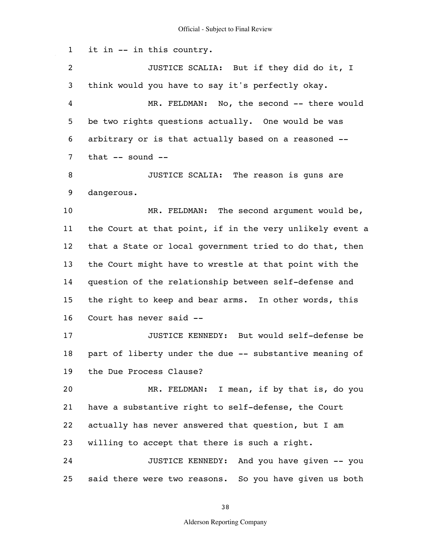1 2 3 4 5 6 7 8 9 10 11 12 13 14 15 16 17 18 19 20 21 22 23 24 25 it in -- in this country. JUSTICE SCALIA: But if they did do it, I think would you have to say it's perfectly okay. MR. FELDMAN: No, the second -- there would be two rights questions actually. One would be was arbitrary or is that actually based on a reasoned - that -- sound -- JUSTICE SCALIA: The reason is guns are dangerous. MR. FELDMAN: The second argument would be, the Court at that point, if in the very unlikely event a that a State or local government tried to do that, then the Court might have to wrestle at that point with the question of the relationship between self-defense and the right to keep and bear arms. In other words, this Court has never said -- JUSTICE KENNEDY: But would self-defense be part of liberty under the due -- substantive meaning of the Due Process Clause? MR. FELDMAN: I mean, if by that is, do you have a substantive right to self-defense, the Court actually has never answered that question, but I am willing to accept that there is such a right. JUSTICE KENNEDY: And you have given -- you said there were two reasons. So you have given us both

38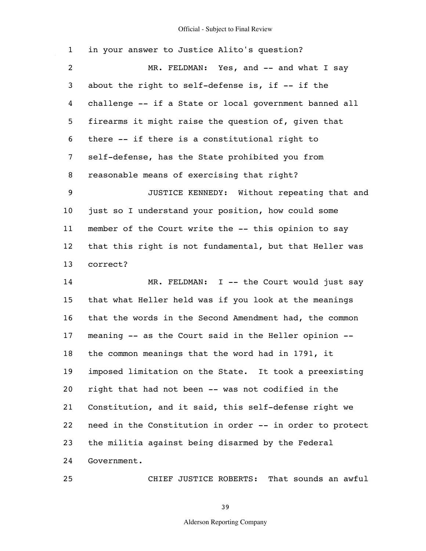| $\mathbf{1}$   | in your answer to Justice Alito's question?              |
|----------------|----------------------------------------------------------|
| $\overline{c}$ | MR. FELDMAN: Yes, and -- and what I say                  |
| 3              | about the right to self-defense is, if -- if the         |
| 4              | challenge -- if a State or local government banned all   |
| 5              | firearms it might raise the question of, given that      |
| 6              | there -- if there is a constitutional right to           |
| 7              | self-defense, has the State prohibited you from          |
| 8              | reasonable means of exercising that right?               |
| 9              | JUSTICE KENNEDY: Without repeating that and              |
| 10             | just so I understand your position, how could some       |
| 11             | member of the Court write the -- this opinion to say     |
| 12             | that this right is not fundamental, but that Heller was  |
| 13             | correct?                                                 |
| 14             | MR. FELDMAN: I -- the Court would just say               |
| 15             | that what Heller held was if you look at the meanings    |
| 16             | that the words in the Second Amendment had, the common   |
| 17             | meaning -- as the Court said in the Heller opinion --    |
| 18             | the common meanings that the word had in 1791, it        |
| 19             | imposed limitation on the State. It took a preexisting   |
| 20             | right that had not been -- was not codified in the       |
| 21             | Constitution, and it said, this self-defense right we    |
| 22             | need in the Constitution in order -- in order to protect |
| 23             | the militia against being disarmed by the Federal        |
| 24             | Government.                                              |
|                |                                                          |

CHIEF JUSTICE ROBERTS: That sounds an awful

39

25

 $\hat{\mathcal{A}}$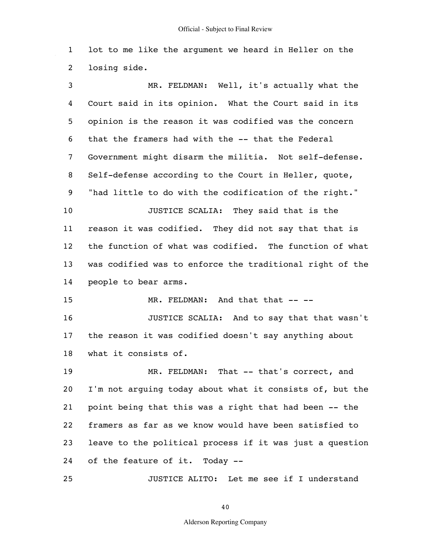1 2 lot to me like the argument we heard in Heller on the losing side.

3 4 5 6 7 8 9 10 11 12 13 14 15 16 17 18 19 20 21 22 23 24 25 MR. FELDMAN: Well, it's actually what the Court said in its opinion. What the Court said in its opinion is the reason it was codified was the concern that the framers had with the -- that the Federal Government might disarm the militia. Not self-defense. Self-defense according to the Court in Heller, quote, "had little to do with the codification of the right." JUSTICE SCALIA: They said that is the reason it was codified. They did not say that that is the function of what was codified. The function of what was codified was to enforce the traditional right of the people to bear arms. MR. FELDMAN: And that that -- --JUSTICE SCALIA: And to say that that wasn't the reason it was codified doesn't say anything about what it consists of. MR. FELDMAN: That -- that's correct, and I'm not arguing today about what it consists of, but the point being that this was a right that had been -- the framers as far as we know would have been satisfied to leave to the political process if it was just a question of the feature of it. Today --

JUSTICE ALITO: Let me see if I understand

40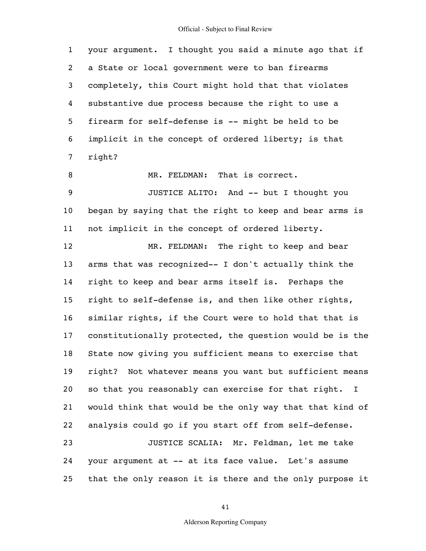1 2 3 4 5 6 7 8 9 10 11 12 13 14 15 16 17 18 19 20 21 22 23 24 25 your argument. I thought you said a minute ago that if a State or local government were to ban firearms completely, this Court might hold that that violates substantive due process because the right to use a firearm for self-defense is -- might be held to be implicit in the concept of ordered liberty; is that right? MR. FELDMAN: That is correct. JUSTICE ALITO: And -- but I thought you began by saying that the right to keep and bear arms is not implicit in the concept of ordered liberty. MR. FELDMAN: The right to keep and bear arms that was recognized-- I don't actually think the right to keep and bear arms itself is. Perhaps the right to self-defense is, and then like other rights, similar rights, if the Court were to hold that that is constitutionally protected, the question would be is the State now giving you sufficient means to exercise that right? Not whatever means you want but sufficient means so that you reasonably can exercise for that right. I would think that would be the only way that that kind of analysis could go if you start off from self-defense. JUSTICE SCALIA: Mr. Feldman, let me take your argument at -- at its face value. Let's assume that the only reason it is there and the only purpose it

41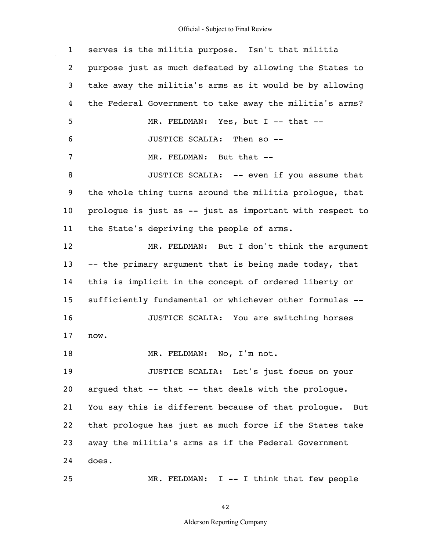$\mathcal{L}_{\mathcal{A}}$ 

| $\mathbf{1}$ | serves is the militia purpose. Isn't that militia          |
|--------------|------------------------------------------------------------|
| 2            | purpose just as much defeated by allowing the States to    |
| 3            | take away the militia's arms as it would be by allowing    |
| 4            | the Federal Government to take away the militia's arms?    |
| 5            | MR. FELDMAN: Yes, but I -- that --                         |
| 6            | JUSTICE SCALIA: Then so --                                 |
| 7            | MR. FELDMAN: But that --                                   |
| 8            | JUSTICE SCALIA: -- even if you assume that                 |
| 9            | the whole thing turns around the militia prologue, that    |
| 10           | prologue is just as -- just as important with respect to   |
| 11           | the State's depriving the people of arms.                  |
| 12           | MR. FELDMAN: But I don't think the argument                |
| 13           | -- the primary argument that is being made today, that     |
| 14           | this is implicit in the concept of ordered liberty or      |
| 15           | sufficiently fundamental or whichever other formulas --    |
| 16           | JUSTICE SCALIA: You are switching horses                   |
| 17           | now.                                                       |
| 18           | MR. FELDMAN:<br>No, I'm not.                               |
| 19           | JUSTICE SCALIA: Let's just focus on your                   |
| 20           | arqued that -- that -- that deals with the prologue.       |
| 21           | You say this is different because of that prologue.<br>But |
| 22           | that prologue has just as much force if the States take    |
| 23           | away the militia's arms as if the Federal Government       |
| 24           | does.                                                      |
| 25           | MR. FELDMAN: I -- I think that few people                  |

42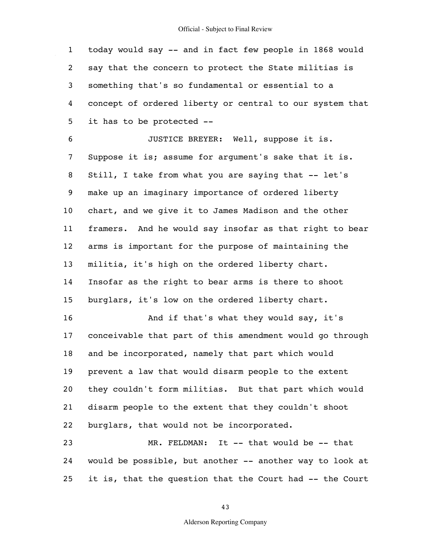1 2 3 4 5 today would say -- and in fact few people in 1868 would say that the concern to protect the State militias is something that's so fundamental or essential to a concept of ordered liberty or central to our system that it has to be protected --

6 7 8 9 10 11 12 13 14 15 16 17 18 19 20 21 JUSTICE BREYER: Well, suppose it is. Suppose it is; assume for argument's sake that it is. Still, I take from what you are saying that -- let's make up an imaginary importance of ordered liberty chart, and we give it to James Madison and the other framers. And he would say insofar as that right to bear arms is important for the purpose of maintaining the militia, it's high on the ordered liberty chart. Insofar as the right to bear arms is there to shoot burglars, it's low on the ordered liberty chart. And if that's what they would say, it's conceivable that part of this amendment would go through and be incorporated, namely that part which would prevent a law that would disarm people to the extent they couldn't form militias. But that part which would disarm people to the extent that they couldn't shoot

22 burglars, that would not be incorporated.

23 24 25 MR. FELDMAN: It -- that would be -- that would be possible, but another -- another way to look at it is, that the question that the Court had -- the Court

43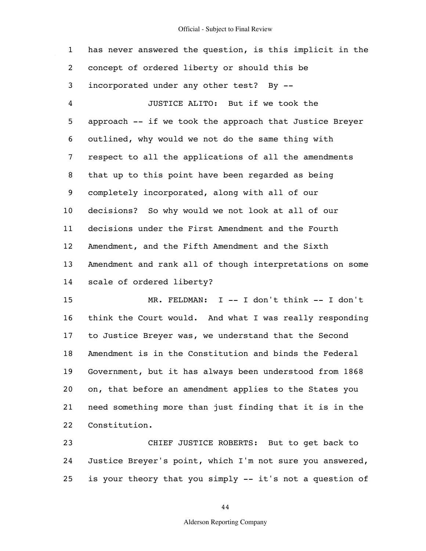1 2 3 4 5 6 7 8 9 10 11 12 13 14 has never answered the question, is this implicit in the concept of ordered liberty or should this be incorporated under any other test? By -- JUSTICE ALITO: But if we took the approach -- if we took the approach that Justice Breyer outlined, why would we not do the same thing with respect to all the applications of all the amendments that up to this point have been regarded as being completely incorporated, along with all of our decisions? So why would we not look at all of our decisions under the First Amendment and the Fourth Amendment, and the Fifth Amendment and the Sixth Amendment and rank all of though interpretations on some scale of ordered liberty?

15 16 17 18 19 20 21 22 MR. FELDMAN: I -- I don't think -- I don't think the Court would. And what I was really responding to Justice Breyer was, we understand that the Second Amendment is in the Constitution and binds the Federal Government, but it has always been understood from 1868 on, that before an amendment applies to the States you need something more than just finding that it is in the Constitution.

23 24 25 CHIEF JUSTICE ROBERTS: But to get back to Justice Breyer's point, which I'm not sure you answered, is your theory that you simply -- it's not a question of

44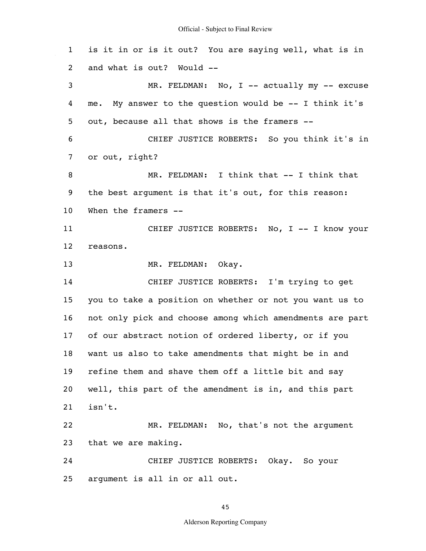1 2 3 4 5 6 7 8 9 10 11 12 13 14 15 16 17 18 19 20 21 22 23 24 25 is it in or is it out? You are saying well, what is in and what is out? Would -- MR. FELDMAN: No, I -- actually my -- excuse me. My answer to the question would be -- I think it's out, because all that shows is the framers -- CHIEF JUSTICE ROBERTS: So you think it's in or out, right? MR. FELDMAN: I think that -- I think that the best argument is that it's out, for this reason: When the framers --CHIEF JUSTICE ROBERTS: No, I -- I know your reasons. MR. FELDMAN: Okay. CHIEF JUSTICE ROBERTS: I'm trying to get you to take a position on whether or not you want us to not only pick and choose among which amendments are part of our abstract notion of ordered liberty, or if you want us also to take amendments that might be in and refine them and shave them off a little bit and say well, this part of the amendment is in, and this part isn't. MR. FELDMAN: No, that's not the argument that we are making. CHIEF JUSTICE ROBERTS: Okay. So your argument is all in or all out.

45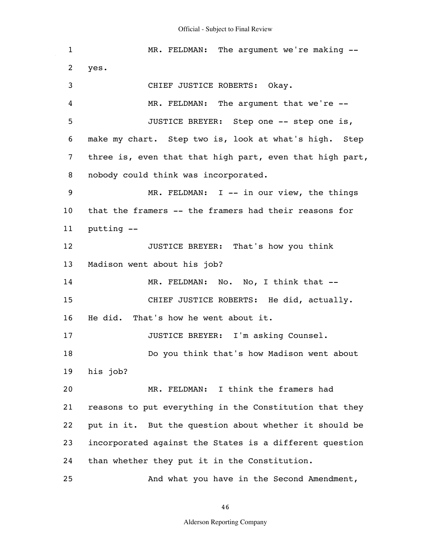$\sim 10$ 

| $\mathbf{1}$ | MR. FELDMAN: The argument we're making --                |
|--------------|----------------------------------------------------------|
| 2            | yes.                                                     |
| 3            | CHIEF JUSTICE ROBERTS: Okay.                             |
| 4            | MR. FELDMAN: The argument that we're --                  |
| 5            | JUSTICE BREYER: Step one -- step one is,                 |
| 6            | make my chart. Step two is, look at what's high. Step    |
| 7            | three is, even that that high part, even that high part, |
| 8            | nobody could think was incorporated.                     |
| 9            | MR. FELDMAN: I -- in our view, the things                |
| 10           | that the framers -- the framers had their reasons for    |
| 11           | putting --                                               |
| 12           | JUSTICE BREYER: That's how you think                     |
| 13           | Madison went about his job?                              |
| 14           | MR. FELDMAN: No. No, I think that --                     |
| 15           | CHIEF JUSTICE ROBERTS: He did, actually.                 |
| 16           | He did. That's how he went about it.                     |
| 17           | JUSTICE BREYER: I'm asking Counsel.                      |
| 18           | Do you think that's how Madison went about               |
| 19           | his job?                                                 |
| 20           | MR. FELDMAN: I think the framers had                     |
| 21           | reasons to put everything in the Constitution that they  |
| 22           | put in it. But the question about whether it should be   |
| 23           | incorporated against the States is a different question  |
| 24           | than whether they put it in the Constitution.            |
| 25           | And what you have in the Second Amendment,               |

46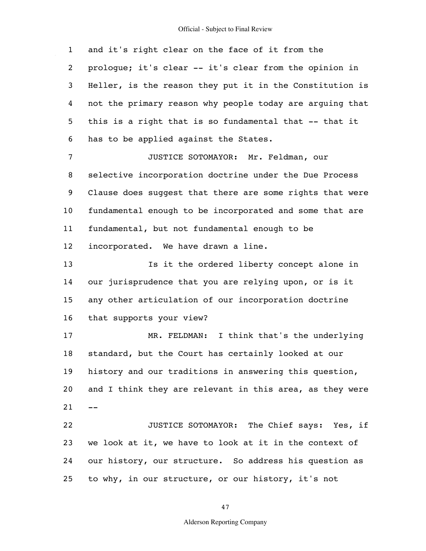1 2 3 4 5 6 7 8 9 10 11 12 13 14 15 16 17 18 19 20  $21 - -$ 22 23 24 25 and it's right clear on the face of it from the prologue; it's clear -- it's clear from the opinion in Heller, is the reason they put it in the Constitution is not the primary reason why people today are arguing that this is a right that is so fundamental that -- that it has to be applied against the States. JUSTICE SOTOMAYOR: Mr. Feldman, our selective incorporation doctrine under the Due Process Clause does suggest that there are some rights that were fundamental enough to be incorporated and some that are fundamental, but not fundamental enough to be incorporated. We have drawn a line. Is it the ordered liberty concept alone in our jurisprudence that you are relying upon, or is it any other articulation of our incorporation doctrine that supports your view? MR. FELDMAN: I think that's the underlying standard, but the Court has certainly looked at our history and our traditions in answering this question, and I think they are relevant in this area, as they were JUSTICE SOTOMAYOR: The Chief says: Yes, if we look at it, we have to look at it in the context of our history, our structure. So address his question as to why, in our structure, or our history, it's not

47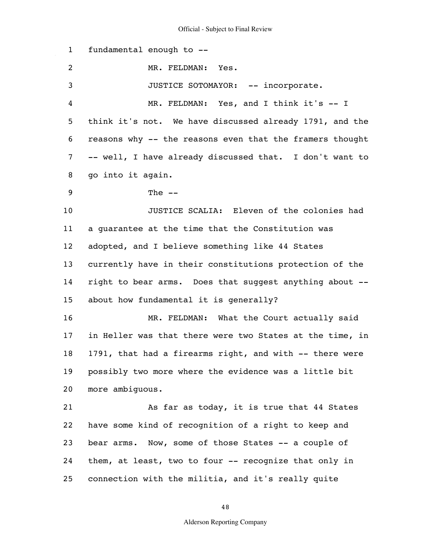1 2 3 4 5 6 7 8 9 10 11 12 13 14 15 16 17 18 19 20 21 22 23 24 25 fundamental enough to -- MR. FELDMAN: Yes. JUSTICE SOTOMAYOR: -- incorporate. MR. FELDMAN: Yes, and I think it's -- I think it's not. We have discussed already 1791, and the reasons why -- the reasons even that the framers thought -- well, I have already discussed that. I don't want to go into it again. The  $--$ JUSTICE SCALIA: Eleven of the colonies had a guarantee at the time that the Constitution was adopted, and I believe something like 44 States currently have in their constitutions protection of the right to bear arms. Does that suggest anything about - about how fundamental it is generally? MR. FELDMAN: What the Court actually said in Heller was that there were two States at the time, in 1791, that had a firearms right, and with -- there were possibly two more where the evidence was a little bit more ambiguous. As far as today, it is true that 44 States have some kind of recognition of a right to keep and bear arms. Now, some of those States -- a couple of them, at least, two to four -- recognize that only in connection with the militia, and it's really quite

48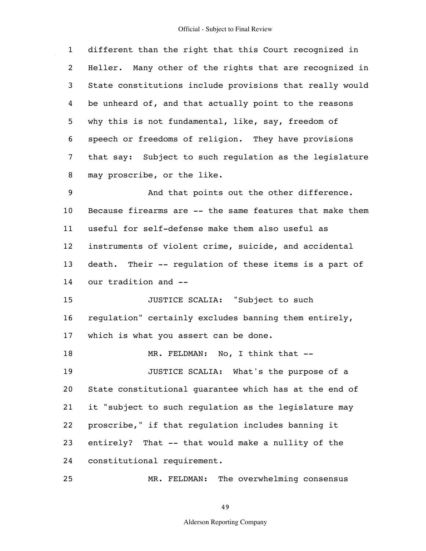$\hat{\mathcal{A}}$ 

| $\mathbf{1}$    | different than the right that this Court recognized in    |
|-----------------|-----------------------------------------------------------|
| $\overline{2}$  | Heller. Many other of the rights that are recognized in   |
| 3               | State constitutions include provisions that really would  |
| 4               | be unheard of, and that actually point to the reasons     |
| 5               | why this is not fundamental, like, say, freedom of        |
| 6               | speech or freedoms of religion. They have provisions      |
| 7               | that say: Subject to such regulation as the legislature   |
| 8               | may proscribe, or the like.                               |
| 9               | And that points out the other difference.                 |
| 10              | Because firearms are -- the same features that make them  |
| 11              | useful for self-defense make them also useful as          |
| 12 <sub>2</sub> | instruments of violent crime, suicide, and accidental     |
| 13              | Their -- regulation of these items is a part of<br>death. |
| 14              | our tradition and --                                      |
| 15              | JUSTICE SCALIA: "Subject to such                          |
| 16              | regulation" certainly excludes banning them entirely,     |
| 17              | which is what you assert can be done.                     |
| 18              | No, I think that --<br>MR. FELDMAN:                       |
| 19              | JUSTICE SCALIA: What's the purpose of a                   |
| 20              | State constitutional quarantee which has at the end of    |
| 21              | it "subject to such regulation as the legislature may     |
| 22              | proscribe," if that regulation includes banning it        |
| 23              | entirely? That -- that would make a nullity of the        |
| 24              | constitutional requirement.                               |
| 25              | MR. FELDMAN: The overwhelming consensus                   |

MR. FELDMAN: The overwhelming consensus

49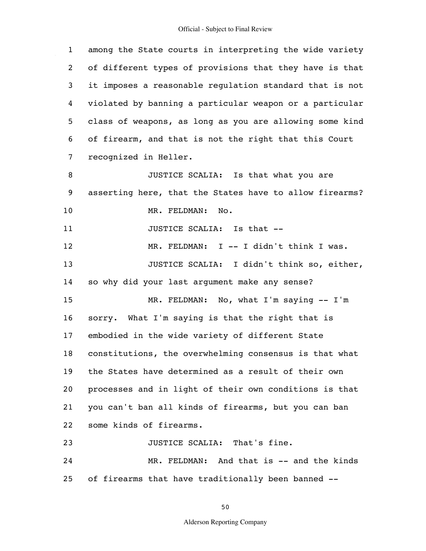$\hat{\mathcal{A}}$ 

| $\mathbf{1}$   | among the State courts in interpreting the wide variety |
|----------------|---------------------------------------------------------|
| $\overline{2}$ | of different types of provisions that they have is that |
| 3              | it imposes a reasonable regulation standard that is not |
| 4              | violated by banning a particular weapon or a particular |
| 5              | class of weapons, as long as you are allowing some kind |
| 6              | of firearm, and that is not the right that this Court   |
| 7              | recognized in Heller.                                   |
| 8              | JUSTICE SCALIA: Is that what you are                    |
| 9              | asserting here, that the States have to allow firearms? |
| 10             | MR. FELDMAN:<br>No.                                     |
| 11             | JUSTICE SCALIA: Is that --                              |
| 12             | MR. FELDMAN: I -- I didn't think I was.                 |
| 13             | JUSTICE SCALIA: I didn't think so, either,              |
| 14             | so why did your last argument make any sense?           |
| 15             | MR. FELDMAN: No, what I'm saying -- I'm                 |
| 16             | sorry. What I'm saying is that the right that is        |
| 17             | embodied in the wide variety of different State         |
| 18             | constitutions, the overwhelming consensus is that what  |
| 19             | the States have determined as a result of their own     |
| 20             | processes and in light of their own conditions is that  |
| 21             | you can't ban all kinds of firearms, but you can ban    |
| 22             | some kinds of firearms.                                 |
| 23             | JUSTICE SCALIA: That's fine.                            |
| 24             | MR. FELDMAN: And that is -- and the kinds               |
| 25             | of firearms that have traditionally been banned --      |

50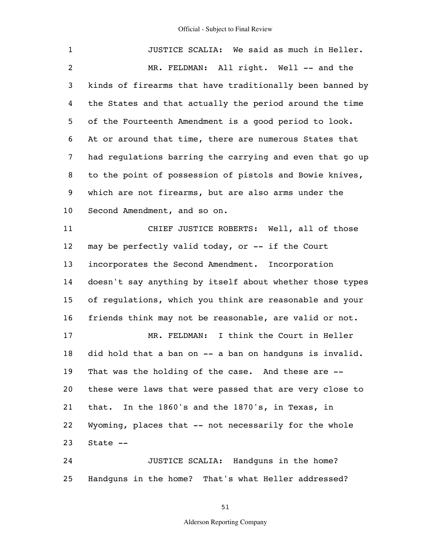| $\mathbf{1}$   | JUSTICE SCALIA: We said as much in Heller.               |
|----------------|----------------------------------------------------------|
| $\overline{2}$ | MR. FELDMAN: All right. Well -- and the                  |
| 3              | kinds of firearms that have traditionally been banned by |
| 4              | the States and that actually the period around the time  |
| 5              | of the Fourteenth Amendment is a good period to look.    |
| 6              | At or around that time, there are numerous States that   |
| 7              | had regulations barring the carrying and even that go up |
| 8              | to the point of possession of pistols and Bowie knives,  |
| 9              | which are not firearms, but are also arms under the      |
| 10             | Second Amendment, and so on.                             |
| 11             | CHIEF JUSTICE ROBERTS: Well, all of those                |
| 12             | may be perfectly valid today, or -- if the Court         |
| 13             | incorporates the Second Amendment. Incorporation         |
| 14             | doesn't say anything by itself about whether those types |
| 15             | of regulations, which you think are reasonable and your  |
| 16             | friends think may not be reasonable, are valid or not.   |
| 17             | I think the Court in Heller<br>MR. FELDMAN:              |
| 18             | did hold that a ban on -- a ban on handquns is invalid.  |
| 19             | That was the holding of the case. And these are --       |
| 20             | these were laws that were passed that are very close to  |
| 21             | In the 1860's and the 1870's, in Texas, in<br>that.      |
| 22             | Wyoming, places that -- not necessarily for the whole    |
| 23             | State --                                                 |
| 24             | JUSTICE SCALIA: Handguns in the home?                    |
| 25             | Handguns in the home? That's what Heller addressed?      |

51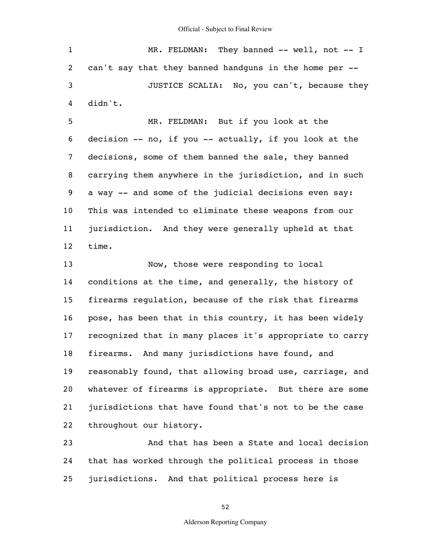|   | MR. FELDMAN: They banned $--$ well, not $--$ I           |
|---|----------------------------------------------------------|
|   | 2 can't say that they banned handguns in the home per -- |
| 3 | JUSTICE SCALIA: No, you can't, because they              |
| 4 | didn't.                                                  |

5 6 7 8 9 10 11 12 MR. FELDMAN: But if you look at the decision -- no, if you -- actually, if you look at the decisions, some of them banned the sale, they banned carrying them anywhere in the jurisdiction, and in such a way -- and some of the judicial decisions even say: This was intended to eliminate these weapons from our jurisdiction. And they were generally upheld at that time.

13 14 15 16 17 18 19 20 21 22 Now, those were responding to local conditions at the time, and generally, the history of firearms regulation, because of the risk that firearms pose, has been that in this country, it has been widely recognized that in many places it's appropriate to carry firearms. And many jurisdictions have found, and reasonably found, that allowing broad use, carriage, and whatever of firearms is appropriate. But there are some jurisdictions that have found that's not to be the case throughout our history.

23 24 25 And that has been a State and local decision that has worked through the political process in those jurisdictions. And that political process here is

52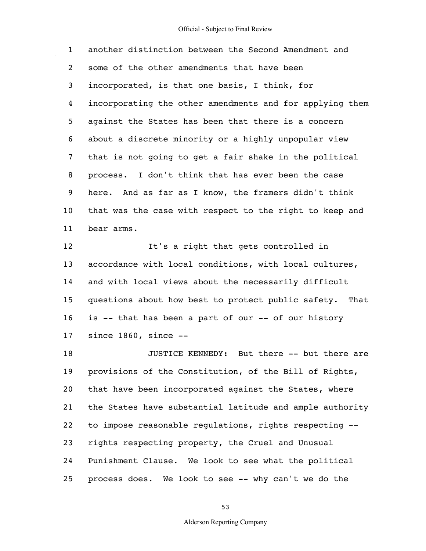1 2 3 4 5 6 7 8 9 10 11 another distinction between the Second Amendment and some of the other amendments that have been incorporated, is that one basis, I think, for incorporating the other amendments and for applying them against the States has been that there is a concern about a discrete minority or a highly unpopular view that is not going to get a fair shake in the political process. I don't think that has ever been the case here. And as far as I know, the framers didn't think that was the case with respect to the right to keep and bear arms.

12 13 14 15 16 17 It's a right that gets controlled in accordance with local conditions, with local cultures, and with local views about the necessarily difficult questions about how best to protect public safety. That is -- that has been a part of our -- of our history since 1860, since --

18 19 20 21 22 23 24 25 JUSTICE KENNEDY: But there -- but there are provisions of the Constitution, of the Bill of Rights, that have been incorporated against the States, where the States have substantial latitude and ample authority to impose reasonable regulations, rights respecting - rights respecting property, the Cruel and Unusual Punishment Clause. We look to see what the political process does. We look to see -- why can't we do the

53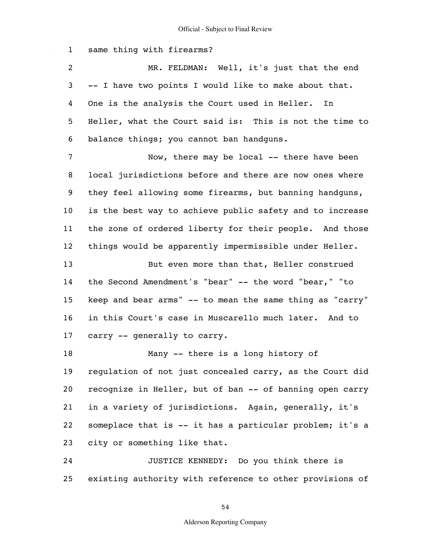1 2 3 4 5 6 7 8 9 10 11 12 13 14 15 16 17 18 19 20 21 22 23 24 25 same thing with firearms? MR. FELDMAN: Well, it's just that the end -- I have two points I would like to make about that. One is the analysis the Court used in Heller. In Heller, what the Court said is: This is not the time to balance things; you cannot ban handguns. Now, there may be local -- there have been local jurisdictions before and there are now ones where they feel allowing some firearms, but banning handguns, is the best way to achieve public safety and to increase the zone of ordered liberty for their people. And those things would be apparently impermissible under Heller. But even more than that, Heller construed the Second Amendment's "bear" -- the word "bear," "to keep and bear arms" -- to mean the same thing as "carry" in this Court's case in Muscarello much later. And to carry -- generally to carry. Many -- there is a long history of regulation of not just concealed carry, as the Court did recognize in Heller, but of ban -- of banning open carry in a variety of jurisdictions. Again, generally, it's someplace that is -- it has a particular problem; it's a city or something like that. JUSTICE KENNEDY: Do you think there is existing authority with reference to other provisions of

54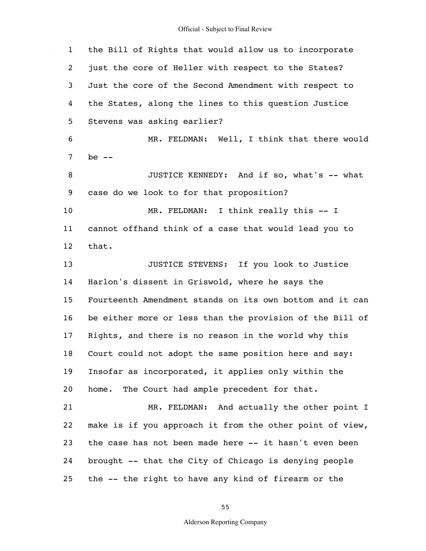$\mathcal{A}^{\mathcal{A}}$ 

| $\mathbf{1}$      | the Bill of Rights that would allow us to incorporate    |
|-------------------|----------------------------------------------------------|
| $\overline{c}$    | just the core of Heller with respect to the States?      |
| 3                 | Just the core of the Second Amendment with respect to    |
| 4                 | the States, along the lines to this question Justice     |
| 5                 | Stevens was asking earlier?                              |
| 6                 | MR. FELDMAN: Well, I think that there would              |
| 7                 | be $--$                                                  |
| 8                 | JUSTICE KENNEDY: And if so, what's -- what               |
| 9                 | case do we look to for that proposition?                 |
| 10                | MR. FELDMAN: I think really this -- I                    |
| 11                | cannot offhand think of a case that would lead you to    |
| $12 \overline{ }$ | that.                                                    |
| 13                | JUSTICE STEVENS: If you look to Justice                  |
| 14                | Harlon's dissent in Griswold, where he says the          |
| 15                | Fourteenth Amendment stands on its own bottom and it can |
| 16                | be either more or less than the provision of the Bill of |
| 17                | Rights, and there is no reason in the world why this     |
| 18                | Court could not adopt the same position here and say:    |
| 19                | Insofar as incorporated, it applies only within the      |
| 20                | The Court had ample precedent for that.<br>home.         |
| 21                | MR. FELDMAN: And actually the other point I              |
| 22                | make is if you approach it from the other point of view, |
| 23                | the case has not been made here -- it hasn't even been   |
| 24                | brought -- that the City of Chicago is denying people    |
| 25                | the -- the right to have any kind of firearm or the      |

55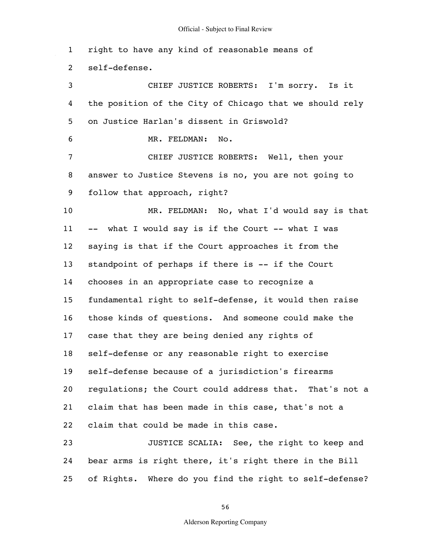1 2 3 4 5 6 7 8 9 10 11 12 13 14 15 16 17 18 19 20 21 22 23 24 25 right to have any kind of reasonable means of self-defense. CHIEF JUSTICE ROBERTS: I'm sorry. Is it the position of the City of Chicago that we should rely on Justice Harlan's dissent in Griswold? MR. FELDMAN: No. CHIEF JUSTICE ROBERTS: Well, then your answer to Justice Stevens is no, you are not going to follow that approach, right? MR. FELDMAN: No, what I'd would say is that -- what I would say is if the Court -- what I was saying is that if the Court approaches it from the standpoint of perhaps if there is -- if the Court chooses in an appropriate case to recognize a fundamental right to self-defense, it would then raise those kinds of questions. And someone could make the case that they are being denied any rights of self-defense or any reasonable right to exercise self-defense because of a jurisdiction's firearms regulations; the Court could address that. That's not a claim that has been made in this case, that's not a claim that could be made in this case. JUSTICE SCALIA: See, the right to keep and bear arms is right there, it's right there in the Bill of Rights. Where do you find the right to self-defense?

56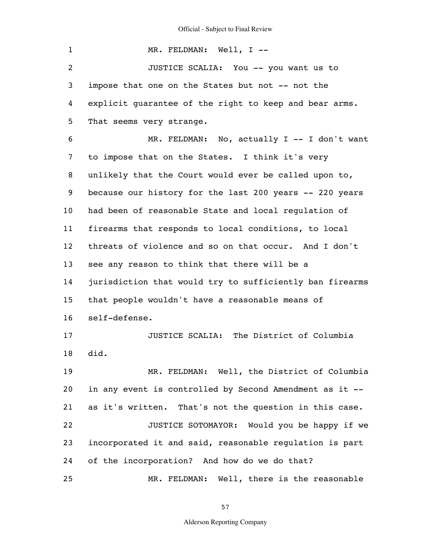$\mathcal{A}^{\mathcal{A}}$ 

| $\mathbf{1}$    | MR. FELDMAN: Well, I --                                  |
|-----------------|----------------------------------------------------------|
| $\overline{2}$  | JUSTICE SCALIA: You -- you want us to                    |
| 3               | impose that one on the States but not -- not the         |
| 4               | explicit quarantee of the right to keep and bear arms.   |
| 5               | That seems very strange.                                 |
| 6               | MR. FELDMAN: No, actually I -- I don't want              |
| 7               | to impose that on the States. I think it's very          |
| 8               | unlikely that the Court would ever be called upon to,    |
| 9               | because our history for the last 200 years -- 220 years  |
| 10 <sub>1</sub> | had been of reasonable State and local requlation of     |
| 11              | firearms that responds to local conditions, to local     |
| 12              | threats of violence and so on that occur. And I don't    |
| 13              | see any reason to think that there will be a             |
| 14              | jurisdiction that would try to sufficiently ban firearms |
| 15              | that people wouldn't have a reasonable means of          |
| 16              | self-defense.                                            |
| 17              | JUSTICE SCALIA: The District of Columbia                 |
| 18              | did.                                                     |
| 19              | MR. FELDMAN: Well, the District of Columbia              |
| 20              | in any event is controlled by Second Amendment as it --  |
| 21              | as it's written. That's not the question in this case.   |
| 22              | JUSTICE SOTOMAYOR: Would you be happy if we              |
| 23              | incorporated it and said, reasonable regulation is part  |
| 24              | of the incorporation? And how do we do that?             |
| 25              | MR. FELDMAN: Well, there is the reasonable               |

57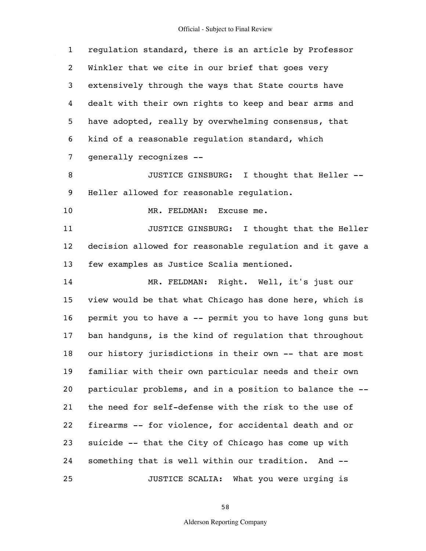| $\mathbf{1}$   | regulation standard, there is an article by Professor    |
|----------------|----------------------------------------------------------|
| $\overline{2}$ | Winkler that we cite in our brief that goes very         |
| 3              | extensively through the ways that State courts have      |
| 4              | dealt with their own rights to keep and bear arms and    |
| 5              | have adopted, really by overwhelming consensus, that     |
| 6              | kind of a reasonable regulation standard, which          |
| $\overline{7}$ | qenerally recognizes --                                  |
| 8              | JUSTICE GINSBURG: I thought that Heller --               |
| 9              | Heller allowed for reasonable requlation.                |
| 10             | MR. FELDMAN: Excuse me.                                  |
| 11             | JUSTICE GINSBURG: I thought that the Heller              |
| 12             | decision allowed for reasonable requlation and it gave a |
| 13             | few examples as Justice Scalia mentioned.                |
| 14             | MR. FELDMAN: Right. Well, it's just our                  |
| 15             | view would be that what Chicago has done here, which is  |
| 16             | permit you to have a -- permit you to have long guns but |
| 17             | ban handguns, is the kind of regulation that throughout  |
| 18             | our history jurisdictions in their own -- that are most  |
| 19             | familiar with their own particular needs and their own   |
| 20             | particular problems, and in a position to balance the -- |
| 21             | the need for self-defense with the risk to the use of    |
| 22             | firearms -- for violence, for accidental death and or    |
| 23             | suicide -- that the City of Chicago has come up with     |
| 24             | something that is well within our tradition.<br>And $--$ |
| 25             | What you were urging is<br>JUSTICE SCALIA:               |

58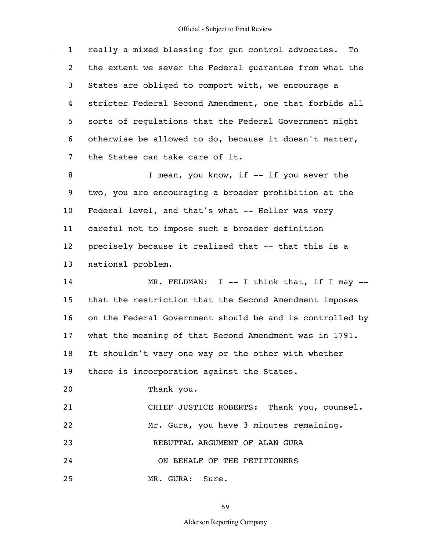1 2 3 4 5 6 7 8 9 10 11 12 13 14 15 16 17 really a mixed blessing for gun control advocates. To the extent we sever the Federal guarantee from what the States are obliged to comport with, we encourage a stricter Federal Second Amendment, one that forbids all sorts of regulations that the Federal Government might otherwise be allowed to do, because it doesn't matter, the States can take care of it. I mean, you know, if -- if you sever the two, you are encouraging a broader prohibition at the Federal level, and that's what -- Heller was very careful not to impose such a broader definition precisely because it realized that -- that this is a national problem. MR. FELDMAN: I -- I think that, if I may -that the restriction that the Second Amendment imposes on the Federal Government should be and is controlled by what the meaning of that Second Amendment was in 1791.

18 It shouldn't vary one way or the other with whether

19 there is incorporation against the States.

20 Thank you.

21 22 23 24 CHIEF JUSTICE ROBERTS: Thank you, counsel. Mr. Gura, you have 3 minutes remaining. REBUTTAL ARGUMENT OF ALAN GURA

ON BEHALF OF THE PETITIONERS

25 MR. GURA: Sure.

59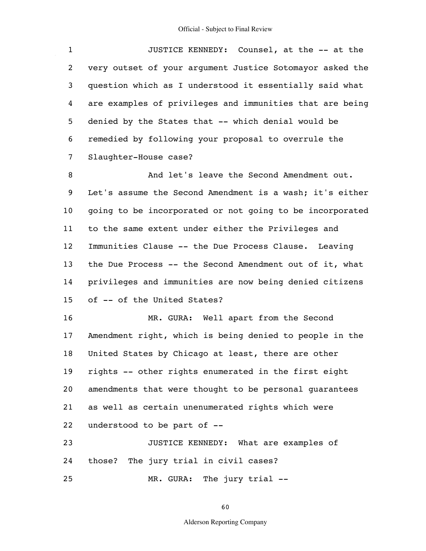| $\mathbf{1}$ | JUSTICE KENNEDY: Counsel, at the -- at the               |
|--------------|----------------------------------------------------------|
| $2^{\circ}$  | very outset of your argument Justice Sotomayor asked the |
| 3            | question which as I understood it essentially said what  |
| 4            | are examples of privileges and immunities that are being |
| 5.           | denied by the States that -- which denial would be       |
| 6            | remedied by following your proposal to overrule the      |
| $7^{\circ}$  | Slaughter-House case?                                    |
| 8            | And let's leave the Second Amendment out.                |

9 10 11 12 13 14 15 Let's assume the Second Amendment is a wash; it's either going to be incorporated or not going to be incorporated to the same extent under either the Privileges and Immunities Clause -- the Due Process Clause. Leaving the Due Process -- the Second Amendment out of it, what privileges and immunities are now being denied citizens of -- of the United States?

16 17 18 19 20 21 22 23 MR. GURA: Well apart from the Second Amendment right, which is being denied to people in the United States by Chicago at least, there are other rights -- other rights enumerated in the first eight amendments that were thought to be personal guarantees as well as certain unenumerated rights which were understood to be part of -- JUSTICE KENNEDY: What are examples of

24 those? The jury trial in civil cases?

25 MR. GURA: The jury trial --

60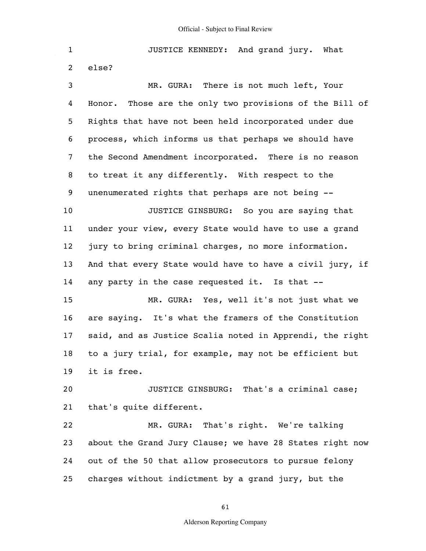1 2 3 4 5 6 7 8 9 10 11 12 13 14 15 16 17 18 19 20 21 22 23 24 25 JUSTICE KENNEDY: And grand jury. What else? MR. GURA: There is not much left, Your Honor. Those are the only two provisions of the Bill of Rights that have not been held incorporated under due process, which informs us that perhaps we should have the Second Amendment incorporated. There is no reason to treat it any differently. With respect to the unenumerated rights that perhaps are not being -- JUSTICE GINSBURG: So you are saying that under your view, every State would have to use a grand jury to bring criminal charges, no more information. And that every State would have to have a civil jury, if any party in the case requested it. Is that -- MR. GURA: Yes, well it's not just what we are saying. It's what the framers of the Constitution said, and as Justice Scalia noted in Apprendi, the right to a jury trial, for example, may not be efficient but it is free. JUSTICE GINSBURG: That's a criminal case; that's quite different. MR. GURA: That's right. We're talking about the Grand Jury Clause; we have 28 States right now out of the 50 that allow prosecutors to pursue felony charges without indictment by a grand jury, but the

61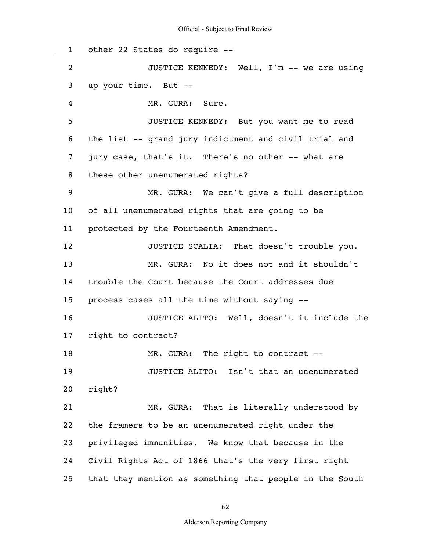1 2 3 4 5 6 7 8 9 10 11 12 13 14 15 16 17 18 19 20 21 22 23 24 25 other 22 States do require -- JUSTICE KENNEDY: Well, I'm -- we are using up your time. But -- MR. GURA: Sure. JUSTICE KENNEDY: But you want me to read the list -- grand jury indictment and civil trial and jury case, that's it. There's no other -- what are these other unenumerated rights? MR. GURA: We can't give a full description of all unenumerated rights that are going to be protected by the Fourteenth Amendment. JUSTICE SCALIA: That doesn't trouble you. MR. GURA: No it does not and it shouldn't trouble the Court because the Court addresses due process cases all the time without saying -- JUSTICE ALITO: Well, doesn't it include the right to contract? MR. GURA: The right to contract -- JUSTICE ALITO: Isn't that an unenumerated right? MR. GURA: That is literally understood by the framers to be an unenumerated right under the privileged immunities. We know that because in the Civil Rights Act of 1866 that's the very first right that they mention as something that people in the South

62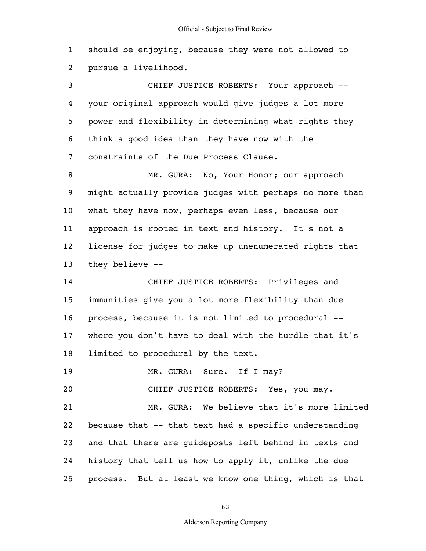1 2 should be enjoying, because they were not allowed to pursue a livelihood.

3 4 5 6 7 CHIEF JUSTICE ROBERTS: Your approach - your original approach would give judges a lot more power and flexibility in determining what rights they think a good idea than they have now with the constraints of the Due Process Clause.

8 9 10 11 12 13 MR. GURA: No, Your Honor; our approach might actually provide judges with perhaps no more than what they have now, perhaps even less, because our approach is rooted in text and history. It's not a license for judges to make up unenumerated rights that they believe --

14 15 16 17 18 CHIEF JUSTICE ROBERTS: Privileges and immunities give you a lot more flexibility than due process, because it is not limited to procedural - where you don't have to deal with the hurdle that it's limited to procedural by the text.

19 MR. GURA: Sure. If I may?

20 CHIEF JUSTICE ROBERTS: Yes, you may.

21 22 23 24 25 MR. GURA: We believe that it's more limited because that -- that text had a specific understanding and that there are guideposts left behind in texts and history that tell us how to apply it, unlike the due process. But at least we know one thing, which is that

63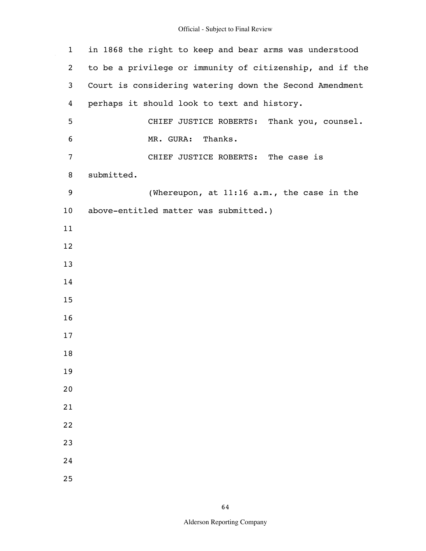$\hat{\mathcal{A}}$ 

| $\mathbf{1}$ | in 1868 the right to keep and bear arms was understood   |
|--------------|----------------------------------------------------------|
| 2            | to be a privilege or immunity of citizenship, and if the |
| 3            | Court is considering watering down the Second Amendment  |
| 4            | perhaps it should look to text and history.              |
| 5            | CHIEF JUSTICE ROBERTS: Thank you, counsel.               |
| 6            | MR. GURA: Thanks.                                        |
| 7            | CHIEF JUSTICE ROBERTS: The case is                       |
| 8            | submitted.                                               |
| 9            | (Whereupon, at 11:16 a.m., the case in the               |
| 10           | above-entitled matter was submitted.)                    |
| 11           |                                                          |
| 12           |                                                          |
| 13           |                                                          |
| 14           |                                                          |
| 15           |                                                          |
| 16           |                                                          |
| 17           |                                                          |
| 18           |                                                          |
| 19           |                                                          |
| 20           |                                                          |
| 21           |                                                          |
| 22           |                                                          |
| 23           |                                                          |
| 24           |                                                          |
| 25           |                                                          |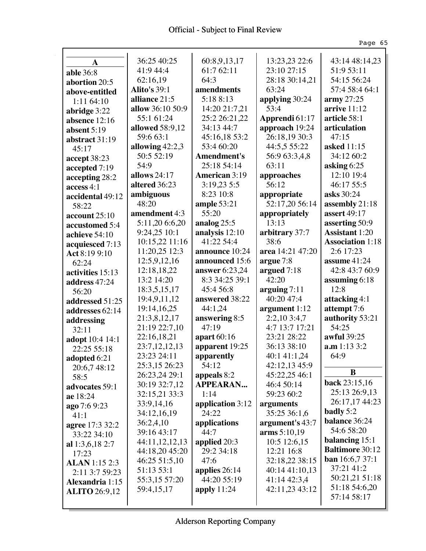$\hat{\mathcal{A}}$ 

|                          |                                 |                             |                               | Page 65                                 |
|--------------------------|---------------------------------|-----------------------------|-------------------------------|-----------------------------------------|
|                          |                                 |                             |                               |                                         |
| $\mathbf A$              | 36:25 40:25                     | 60:8,9,13,17                | 13:23,23 22:6                 | 43:14 48:14,23                          |
| able 36:8                | 41:9 44:4                       | 61:7 62:11<br>64:3          | 23:10 27:15                   | 51:9 53:11                              |
| abortion 20:5            | 62:16,19                        |                             | 28:18 30:14,21                | 54:15 56:24                             |
| above-entitled           | <b>Alito's 39:1</b>             | amendments                  | 63:24                         | 57:4 58:4 64:1                          |
| 1:11 64:10               | alliance 21:5                   | 5:18 8:13                   | applying 30:24                | $\operatorname{army} 27:25$             |
| abridge 3:22             | allow 36:10 50:9                | 14:20 21:7,21               | 53:4                          | arrive 11:12<br>article 58:1            |
| absence 12:16            | 55:1 61:24                      | 25:2 26:21,22               | Apprendi 61:17                |                                         |
| absent $5:19$            | allowed 58:9,12<br>59:6 63:1    | 34:13 44:7                  | approach 19:24                | articulation<br>47:15                   |
| abstract 31:19           |                                 | 45:16,18 53:2<br>53:4 60:20 | 26:18,19 30:3                 |                                         |
| 45:17                    | allowing $42:2,3$<br>50:5 52:19 | <b>Amendment's</b>          | 44:5,5 55:22<br>56:9 63:3,4,8 | asked 11:15<br>34:12 60:2               |
| accept 38:23             | 54:9                            | 25:18 54:14                 | 63:11                         |                                         |
| accepted 7:19            | allows 24:17                    | <b>American 3:19</b>        |                               | asking $6:25$<br>12:10 19:4             |
| accepting 28:2           |                                 | 3:19.23 5:5                 | approaches<br>56:12           | 46:17 55:5                              |
| access 4:1               | altered 36:23                   | 8:23 10:8                   |                               | asks 30:24                              |
| accidental 49:12         | ambiguous<br>48:20              |                             | appropriate<br>52:17,20 56:14 | assembly 21:18                          |
| 58:22                    | amendment 4:3                   | ample 53:21<br>55:20        | appropriately                 | assert 49:17                            |
| account 25:10            | 5:11,20 6:6,20                  | analog $25:5$               | 13:13                         |                                         |
| accustomed 5:4           | 9:24,25 10:1                    | analysis 12:10              | arbitrary 37:7                | asserting 50:9<br><b>Assistant 1:20</b> |
| achieve 54:10            | 10:15,22 11:16                  | 41:22 54:4                  | 38:6                          | <b>Association 1:18</b>                 |
| acquiesced 7:13          | 11:20,25 12:3                   | announce 10:24              | area 14:21 47:20              | 2:6 17:23                               |
| Act 8:19 9:10            | 12:5,9,12,16                    | announced 15:6              | argue 7:8                     | assume 41:24                            |
| 62:24                    | 12:18,18,22                     | answer 6:23,24              | argued $7:18$                 | 42:8 43:7 60:9                          |
| activities 15:13         | 13:2 14:20                      | 8:3 34:25 39:1              | 42:20                         | assuming 6:18                           |
| address 47:24            | 18:3,5,15,17                    | 45:4 56:8                   | arguing $7:11$                | 12:8                                    |
| 56:20                    | 19:4,9,11,12                    | answered 38:22              | 40:20 47:4                    | attacking 4:1                           |
| addressed 51:25          | 19:14,16,25                     | 44:1,24                     | argument $1:12$               | attempt 7:6                             |
| addresses 62:14          | 21:3,8,12,17                    | answering 8:5               | 2:2,103:4,7                   | authority 53:21                         |
| addressing               | 21:19 22:7,10                   | 47:19                       | 4:7 13:7 17:21                | 54:25                                   |
| 32:11<br>adopt 10:4 14:1 | 22:16,18,21                     | apart 60:16                 | 23:21 28:22                   | awful 39:25                             |
| 22:25 55:18              | 23:7,12,12,13                   | apparent 19:25              | 36:13 38:10                   | a.m 1:13 3:2                            |
| adopted 6:21             | 23:23 24:11                     | apparently                  | 40:1 41:1,24                  | 64:9                                    |
| 20:6,7 48:12             | 25:3,15 26:23                   | 54:12                       | 42:12,13 45:9                 |                                         |
| 58:5                     | 26:23,24 29:1                   | appeals 8:2                 | 45:22,25 46:1                 | $\bf{B}$                                |
| advocates 59:1           | 30:19 32:7,12                   | <b>APPEARAN</b>             | 46:4 50:14                    | back 23:15,16                           |
| ae 18:24                 | 32:15,21 33:3                   | 1:14                        | 59:23 60:2                    | 25:13 26:9,13                           |
| ago7:69:23               | 33:9,14,16                      | application 3:12            | arguments                     | 26:17,17 44:23                          |
| 41:1                     | 34:12,16,19                     | 24:22                       | 35:25 36:1,6                  | badly 5:2                               |
| agree 17:3 32:2          | 36:2,4,10                       | applications                | argument's 43:7               | balance 36:24                           |
| 33:22 34:10              | 39:16 43:17                     | 44:7                        | arms 5:10,19                  | 54:6 58:20                              |
| al $1:3,6,18$ 2:7        | 44:11,12,12,13                  | applied 20:3                | 10:5 12:6,15                  | balancing 15:1                          |
| 17:23                    | 44:18,20 45:20                  | 29:2 34:18                  | 12:21 16:8                    | <b>Baltimore 30:12</b>                  |
| <b>ALAN</b> 1:15 2:3     | 46:25 51:5,10                   | 47:6                        | 32:18,22 38:15                | ban 16:6,7 37:1                         |
| 2:11 3:7 59:23           | 51:13 53:1                      | applies $26:14$             | 40:14 41:10,13                | 37:21 41:2                              |
| <b>Alexandria</b> 1:15   | 55:3,15 57:20                   | 44:20 55:19                 | 41:14 42:3,4                  | 50:21,21 51:18                          |
| <b>ALITO</b> 26:9,12     | 59:4,15,17                      | apply $11:24$               | 42:11,23 43:12                | 51:18 54:6,20                           |
|                          |                                 |                             |                               | 57:14 58:17                             |
|                          |                                 |                             |                               |                                         |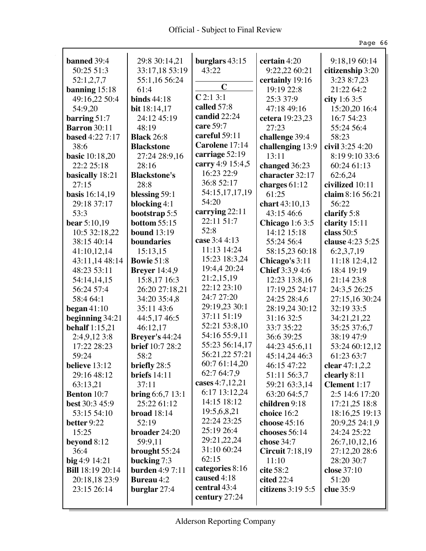Ŷ,

|                         |                        |                  |                        | Page 66             |
|-------------------------|------------------------|------------------|------------------------|---------------------|
| banned 39:4             | 29:8 30:14,21          | burglars $43:15$ | certain 4:20           | 9:18,19 60:14       |
| 50:25 51:3              | 33:17,18 53:19         | 43:22            | 9:22,22 60:21          | citizenship 3:20    |
| 52:1,2,7,7              | 55:1,16 56:24          |                  | certainly 19:16        | 3:23 8:7,23         |
| banning $15:18$         | 61:4                   | $\mathbf C$      | 19:19 22:8             | 21:22 64:2          |
| 49:16,22 50:4           | <b>binds</b> 44:18     | C2:13:1          | 25:3 37:9              | city 1:6 3:5        |
| 54:9,20                 | <b>bit</b> 18:14,17    | called 57:8      | 47:18 49:16            | 15:20,20 16:4       |
| barring 51:7            | 24:12 45:19            | candid 22:24     | cetera 19:23,23        | 16:7 54:23          |
| <b>Barron</b> 30:11     | 48:19                  | care 59:7        | 27:23                  | 55:24 56:4          |
| <b>based</b> 4:22 7:17  | <b>Black</b> 26:8      | careful 59:11    | challenge 39:4         | 58:23               |
| 38:6                    | <b>Blackstone</b>      | Carolene 17:14   | challenging 13:9       | civil 3:25 4:20     |
| <b>basic</b> 10:18,20   | 27:24 28:9,16          | carriage 52:19   | 13:11                  | 8:19 9:10 33:6      |
| 22:2 25:18              | 28:16                  | carry 4:9 15:4,5 | changed 36:23          | 60:24 61:13         |
| basically 18:21         | <b>Blackstone's</b>    | 16:23 22:9       | character 32:17        | 62:6,24             |
| 27:15                   | 28:8                   | 36:8 52:17       | charges $61:12$        | civilized 10:11     |
| basis 16:14,19          | blessing 59:1          | 54:15,17,17,19   | 61:25                  | claim 8:16 56:21    |
| 29:18 37:17             | blocking $4:1$         | 54:20            | chart 43:10,13         | 56:22               |
| 53:3                    | bootstrap 5:5          | carrying 22:11   | 43:15 46:6             | clarify 5:8         |
| <b>bear</b> 5:10,19     | <b>bottom</b> 55:15    | 22:11 51:7       | Chicago $1:63:5$       | clarity 15:11       |
| 10:5 32:18,22           | <b>bound</b> 13:19     | 52:8             | 14:12 15:18            | class $50:5$        |
| 38:15 40:14             | boundaries             | case 3:4 4:13    | 55:24 56:4             | clause 4:23 5:25    |
| 41:10,12,14             | 15:13,15               | 11:13 14:24      | 58:15,23 60:18         | 6:2,3,7,19          |
| 43:11,14 48:14          | <b>Bowie 51:8</b>      | 15:23 18:3,24    | Chicago's 3:11         | 11:18 12:4,12       |
| 48:23 53:11             | <b>Breyer</b> 14:4,9   | 19:4,4 20:24     | Chief 3:3,9 4:6        | 18:4 19:19          |
| 54:14,14,15             | 15:8,17 16:3           | 21:2,15,19       | 12:23 13:8,16          | 21:14 23:8          |
| 56:24 57:4              | 26:20 27:18,21         | 22:12 23:10      | 17:19,25 24:17         | 24:3,5 26:25        |
| 58:4 64:1               | 34:20 35:4,8           | 24:7 27:20       | 24:25 28:4,6           | 27:15,16 30:24      |
| began $41:10$           | 35:11 43:6             | 29:19,23 30:1    | 28:19,24 30:12         | 32:19 33:5          |
| beginning 34:21         | 44:5,17 46:5           | 37:11 51:19      | 31:16 32:5             | 34:21,21,22         |
| <b>behalf</b> 1:15,21   | 46:12,17               | 52:21 53:8,10    | 33:7 35:22             | 35:25 37:6,7        |
| 2:4,9,12 3:8            | <b>Brever's 44:24</b>  | 54:16 55:9,11    | 36:6 39:25             | 38:19 47:9          |
| 17:22 28:23             | brief 10:7 28:2        | 55:23 56:14,17   | 44:23 45:6,11          | 53:24 60:12,12      |
| 59:24                   | 58:2                   | 56:21,22 57:21   | 45:14,24 46:3          | 61:23 63:7          |
| believe 13:12           | briefly 28:5           | 60:7 61:14,20    | 46:15 47:22            | clear $47:1,2,2$    |
| 29:16 48:12             | briefs $14:11$         | 62:7 64:7,9      | 51:11 56:3,7           | clearly 8:11        |
| 63:13,21                | 37:11                  | cases 4:7,12,21  | 59:21 63:3,14          | <b>Clement</b> 1:17 |
| <b>Benton</b> 10:7      | bring $6:6,7$ 13:1     | 6:17 13:12,24    | 63:20 64:5,7           | 2:5 14:6 17:20      |
| best 30:3 45:9          | 25:22 61:12            | 14:15 18:12      | children 9:18          | 17:21,25 18:8       |
| 53:15 54:10             | broad $18:14$          | 19:5,6,8,21      | choice 16:2            | 18:16,25 19:13      |
| better 9:22             | 52:19                  | 22:24 23:25      | choose $45:16$         | 20:9,25 24:1,9      |
| 15:25                   | broader 24:20          | 25:19 26:4       | chooses 56:14          | 24:24 25:22         |
| beyond $8:12$           | 59:9,11                | 29:21,22,24      | chose 34:7             | 26:7, 10, 12, 16    |
| 36:4                    | brought 55:24          | 31:10 60:24      | <b>Circuit</b> 7:18,19 | 27:12,20 28:6       |
| big 4:9 14:21           | bucking 7:3            | 62:15            | 11:10                  | 28:20 30:7          |
| <b>Bill</b> 18:19 20:14 | <b>burden</b> 4:9 7:11 | categories 8:16  | cite 58:2              | close 37:10         |
| 20:18,18 23:9           | <b>Bureau</b> 4:2      | caused 4:18      | cited 22:4             | 51:20               |
| 23:15 26:14             | burglar $27:4$         | central 43:4     | citizens $3:195:5$     | clue 35:9           |
|                         |                        | century 27:24    |                        |                     |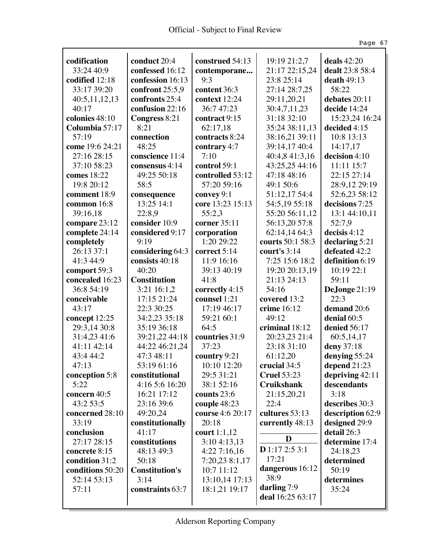|                         |                       |                            |                             | Page 67                    |
|-------------------------|-----------------------|----------------------------|-----------------------------|----------------------------|
| codification            | conduct 20:4          | construed 54:13            | 19:19 21:2,7                | deals 42:20                |
| 33:24 40:9              | confessed 16:12       | contemporane               | 21:17 22:15,24              | dealt 23:8 58:4            |
| codified 12:18          | confession 16:13      | 9:3                        | 23:8 25:14                  | death $49:13$              |
| 33:17 39:20             | confront 25:5,9       | content 36:3               | 27:14 28:7,25               | 58:22                      |
|                         | confronts 25:4        | context 12:24              | 29:11,20,21                 | debates 20:11              |
| 40:5,11,12,13<br>40:17  | confusion 22:16       | 36:747:23                  |                             | decide 14:24               |
| colonies 48:10          |                       |                            | 30:4,7,11,23<br>31:18 32:10 |                            |
|                         | Congress 8:21<br>8:21 | contract 9:15              | 35:24 38:11,13              | 15:23,24 16:24             |
| Columbia 57:17<br>57:19 | connection            | 62:17,18<br>contracts 8:24 |                             | decided 4:15<br>10:8 13:13 |
|                         |                       |                            | 38:16,21 39:11              |                            |
| come 19:6 24:21         | 48:25                 | contrary 4:7<br>7:10       | 39:14,17 40:4               | 14:17,17                   |
| 27:16 28:15             | conscience 11:4       |                            | 40:4,8 41:3,16              | decision 4:10              |
| 37:10 58:23             | consensus 4:14        | control 59:1               | 43:25,25 44:16              | 11:11 15:7                 |
| comes 18:22             | 49:25 50:18           | controlled 53:12           | 47:18 48:16                 | 22:15 27:14                |
| 19:8 20:12              | 58:5                  | 57:20 59:16                | 49:1 50:6                   | 28:9,12 29:19              |
| comment 18:9            | consequence           | convey 9:1                 | 51:12,17 54:4               | 52:6,23 58:12              |
| common 16:8             | 13:25 14:1            | core 13:23 15:13           | 54:5,19 55:18               | decisions 7:25             |
| 39:16,18                | 22:8,9                | 55:2,3                     | 55:20 56:11,12              | 13:1 44:10,11              |
| compare 23:12           | consider 10:9         | corner 35:11               | 56:13,20 57:8               | 52:7,9                     |
| complete 24:14          | considered 9:17       | corporation                | 62:14,14 64:3               | decisis 4:12               |
| completely              | 9:19                  | 1:20 29:22                 | courts 50:1 58:3            | declaring 5:21             |
| 26:13 37:1              | considering 64:3      | correct 5:14               | court's $3:14$              | defeated 42:2              |
| 41:3 44:9               | consists 40:18        | 11:9 16:16                 | 7:25 15:6 18:2              | definition 6:19            |
| comport 59:3            | 40:20                 | 39:13 40:19                | 19:20 20:13,19              | 10:19 22:1                 |
| concealed 16:23         | <b>Constitution</b>   | 41:8                       | 21:13 24:13                 | 59:11                      |
| 36:8 54:19              | 3:21 16:1,2           | correctly 4:15             | 54:16                       | DeJonge 21:19              |
| conceivable             | 17:15 21:24           | counsel 1:21               | covered 13:2                | 22:3                       |
| 43:17                   | 22:3 30:25            | 17:19 46:17                | crime 16:12                 | demand 20:6                |
| concept 12:25           | 34:2,23 35:18         | 59:21 60:1                 | 49:12                       | denial 60:5                |
| 29:3,14 30:8            | 35:19 36:18           | 64:5                       | criminal 18:12              | denied 56:17               |
| 31:4,23 41:6            | 39:21,22 44:18        | countries 31:9             | 20:23,23 21:4               | 60:5,14,17                 |
| 41:11 42:14             | 44:22 46:21.24        | 37:23                      | 23:18 31:10                 | deny 37:18                 |
| 43:4 44:2               | 47:3 48:11            | country $9:21$             | 61:12,20                    | denying 55:24              |
| 47:13                   | 53:19 61:16           | 10:10 12:20                | crucial 34:5                | depend 21:23               |
| conception 5:8          | constitutional        | 29:5 31:21                 | <b>Cruel 53:23</b>          | depriving 42:11            |
| 5:22                    | 4:16 5:6 16:20        | 38:1 52:16                 | <b>Cruikshank</b>           | descendants                |
| concern 40:5            | 16:21 17:12           | counts 23:6                | 21:15,20,21                 | 3:18                       |
| 43:2 53:5               | 23:16 39:6            | couple 48:23               | 22:4                        | describes 30:3             |
| concerned 28:10         | 49:20,24              | course 4:6 20:17           | cultures 53:13              | description 62:9           |
| 33:19                   | constitutionally      | 20:18                      | currently 48:13             | designed 29:9              |
| conclusion              | 41:17                 | court $1:1,12$             |                             | detail 26:3                |
| 27:17 28:15             | constitutions         | 3:104:13,13                | D                           | determine 17:4             |
| concrete 8:15           | 48:13 49:3            | 4:227:16,16                | $D$ 1:17 2:5 3:1            | 24:18,23                   |
| condition 31:2          | 50:18                 | 7:20,23 8:1,17             | 17:21                       | determined                 |
| conditions 50:20        | <b>Constitution's</b> | 10:7 11:12                 | dangerous 16:12             | 50:19                      |
| 52:14 53:13             | 3:14                  | 13:10,14 17:13             | 38:9                        | determines                 |
| 57:11                   | constraints 63:7      | 18:1,21 19:17              | darling 7:9                 | 35:24                      |
|                         |                       |                            | deal 16:25 63:17            |                            |
|                         |                       |                            |                             |                            |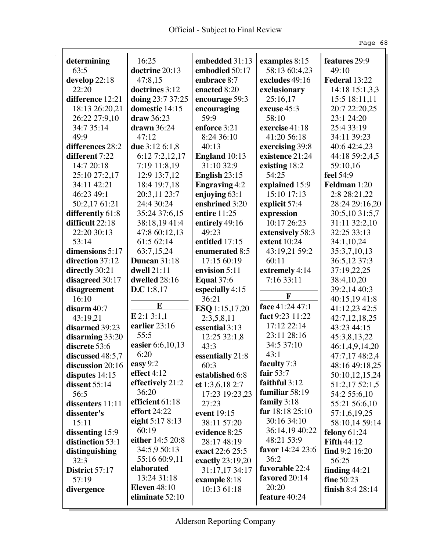|                                 |                                    |                      |                         | Page 68                        |
|---------------------------------|------------------------------------|----------------------|-------------------------|--------------------------------|
| determining                     | 16:25                              | embedded 31:13       | examples 8:15           | features 29:9                  |
| 63:5                            | doctrine 20:13                     | embodied 50:17       | 58:13 60:4,23           | 49:10                          |
| develop 22:18                   | 47:8,15                            | embrace 8:7          | excludes 49:16          | Federal 13:22                  |
| 22:20                           | doctrines 3:12                     | enacted 8:20         | exclusionary            | 14:18 15:1,3,3                 |
| difference 12:21                |                                    |                      |                         |                                |
|                                 | doing 23:7 37:25<br>domestic 14:15 | encourage 59:3       | 25:16,17<br>excuse 45:3 | 15:5 18:11,11<br>20:7 22:20,25 |
| 18:13 26:20,21<br>26:22 27:9,10 | draw 36:23                         | encouraging<br>59:9  | 58:10                   | 23:1 24:20                     |
| 34:7 35:14                      | $d$ rawn 36:24                     | enforce 3:21         | exercise 41:18          | 25:4 33:19                     |
| 49:9                            | 47:12                              | 8:24 36:10           | 41:20 56:18             | 34:11 39:23                    |
| differences 28:2                | due 3:12 6:1,8                     | 40:13                | exercising 39:8         | 40:6 42:4,23                   |
| different 7:22                  | 6:127:2,12,17                      | <b>England</b> 10:13 | existence 21:24         | 44:18 59:2,4,5                 |
| 14:7 20:18                      | 7:19 11:8,19                       | 31:10 32:9           | existing 18:2           | 59:10,16                       |
| 25:10 27:2,17                   | 12:9 13:7,12                       | English $23:15$      | 54:25                   | feel 54:9                      |
| 34:11 42:21                     | 18:4 19:7,18                       | <b>Engraving 4:2</b> | explained 15:9          | <b>Feldman</b> 1:20            |
| 46:23 49:1                      | 20:3,11 23:7                       | enjoying 63:1        | 15:10 17:13             | 2:8 28:21,22                   |
| 50:2,17 61:21                   | 24:4 30:24                         | enshrined 3:20       | explicit 57:4           | 28:24 29:16,20                 |
| differently 61:8                | 35:24 37:6,15                      | entire $11:25$       | expression              | 30:5,10 31:5,7                 |
| difficult 22:18                 | 38:18,1941:4                       | entirely 49:16       | 10:17 26:23             | 31:11 32:2,10                  |
| 22:20 30:13                     | 47:8 60:12,13                      | 49:23                | extensively 58:3        | 32:25 33:13                    |
| 53:14                           | 61:5 62:14                         | entitled 17:15       | extent 10:24            | 34:1,10,24                     |
| dimensions 5:17                 | 63:7,15,24                         | enumerated 8:5       | 43:19,21 59:2           | 35:3,7,10,13                   |
| direction 37:12                 | Duncan 31:18                       | 17:15 60:19          | 60:11                   | 36:5,12 37:3                   |
| directly 30:21                  | dwell 21:11                        | envision 5:11        | extremely 4:14          | 37:19,22,25                    |
| disagreed 30:17                 | dwelled 28:16                      | <b>Equal</b> 37:6    | 7:16 33:11              | 38:4,10,20                     |
| disagreement                    | D.C 1:8,17                         | especially 4:15      |                         | 39:2,14 40:3                   |
| 16:10                           |                                    | 36:21                | F                       | 40:15,19 41:8                  |
| disarm 40:7                     | E                                  | ESQ 1:15,17,20       | face 41:24 47:1         | 41:12,23 42:5                  |
| 43:19,21                        | E2:13:1,1                          | 2:3,5,8,11           | fact 9:23 11:22         | 42:7,12,18,25                  |
| disarmed 39:23                  | earlier 23:16                      | essential 3:13       | 17:12 22:14             | 43:23 44:15                    |
| disarming 33:20                 | 55:5                               | 12:25 32:1,8         | 23:11 28:16             | 45:3,8,13,22                   |
| discrete 53:6                   | easier 6:6,10,13                   | 43:3                 | 34:5 37:10              | 46:1,4,9,14,20                 |
| discussed $48:5,7$              | 6:20                               | essentially 21:8     | 43:1                    | 47:7,17 48:2,4                 |
| discussion 20:16                | easy 9:2                           | 60:3                 | faculty 7:3             | 48:16 49:18,25                 |
| disputes $14:15$                | effect 4:12                        | established 6:8      | fair $53:7$             | 50:10,12,15,24                 |
| dissent $55:14$                 | effectively 21:2                   | et $1:3,6,18$ 2:7    | faithful 3:12           | 51:2,17 52:1,5                 |
| 56:5                            | 36:20                              | 17:23 19:23,23       | familiar 58:19          | 54:2 55:6,10                   |
| dissenters 11:11                | efficient 61:18                    | 27:23                | family $3:18$           | 55:21 56:6,10                  |
| dissenter's                     | <b>effort</b> 24:22                | event 19:15          | far 18:18 25:10         | 57:1,6,19,25                   |
| 15:11                           | eight 5:17 8:13                    | 38:11 57:20          | 30:16 34:10             | 58:10,14 59:14                 |
| dissenting 15:9                 | 60:19                              | evidence 8:25        | 36:14,19 40:22          | felony $61:24$                 |
| distinction 53:1                | either 14:5 20:8                   | 28:17 48:19          | 48:21 53:9              | <b>Fifth 44:12</b>             |
| distinguishing                  | 34:5,9 50:13                       | exact 22:6 25:5      | favor 14:24 23:6        | find 9:2 16:20                 |
| 32:3                            | 55:16 60:9,11                      | exactly 23:19,20     | 36:2                    | 56:25                          |
| District 57:17                  | elaborated                         | 31:17,17 34:17       | favorable 22:4          | finding $44:21$                |
| 57:19                           | 13:24 31:18                        | example 8:18         | favored 20:14           | <b>fine</b> 50:23              |
| divergence                      | <b>Eleven</b> 48:10                | 10:13 61:18          | 20:20                   | finish $8:428:14$              |
|                                 | eliminate 52:10                    |                      | feature 40:24           |                                |
|                                 |                                    |                      |                         |                                |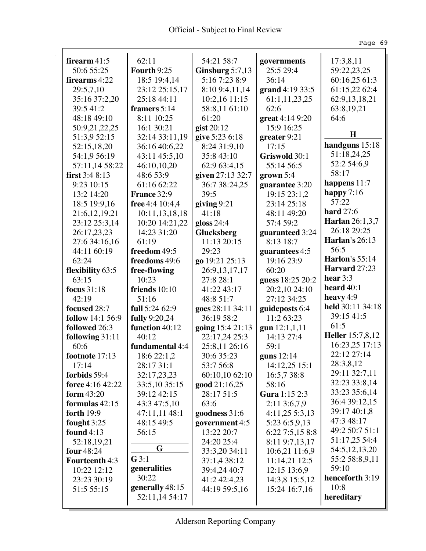Ŷ,

|                       |                 |                   |                   | Page 69                           |
|-----------------------|-----------------|-------------------|-------------------|-----------------------------------|
| firearm $41:5$        | 62:11           | 54:21 58:7        | governments       | 17:3,8,11                         |
| 50:6 55:25            | Fourth 9:25     | Ginsburg $5:7,13$ | 25:5 29:4         | 59:22,23,25                       |
| firearms 4:22         | 18:5 19:4,14    | 5:16 7:23 8:9     | 36:14             | 60:16,25 61:3                     |
| 29:5,7,10             | 23:12 25:15,17  | 8:10 9:4,11,14    | grand 4:19 33:5   | 61:15.22 62:4                     |
| 35:16 37:2,20         | 25:18 44:11     | 10:2,16 11:15     | 61:1,11,23,25     | 62:9,13,18,21                     |
| 39:5 41:2             | framers 5:14    | 58:8,11 61:10     | 62:6              | 63:8,19,21                        |
| 48:18 49:10           | 8:11 10:25      | 61:20             | great 4:14 9:20   | 64:6                              |
| 50:9,21,22,25         | 16:1 30:21      | gist 20:12        | 15:9 16:25        |                                   |
| 51:3,9 52:15          | 32:14 33:11,19  | give 5:23 6:18    | greater 9:21      | $\bf H$                           |
| 52:15,18,20           | 36:16 40:6,22   | 8:24 31:9,10      | 17:15             | handguns 15:18                    |
| 54:1,9 56:19          | 43:11 45:5,10   | 35:8 43:10        | Griswold 30:1     | 51:18,24,25                       |
| 57:11,14 58:22        | 46:10,10,20     | 62:9 63:4,15      | 55:14 56:5        | 52:2 54:6,9                       |
| first $3:48:13$       | 48:6 53:9       | given 27:13 32:7  | $grown 5:4$       | 58:17                             |
| 9:23 10:15            | 61:16 62:22     | 36:7 38:24,25     | guarantee 3:20    | happens $11:7$                    |
| 13:2 14:20            | France 32:9     | 39:5              | 19:15 23:1,2      | happy $7:16$                      |
| 18:5 19:9,16          | free 4:4 10:4,4 | giving $9:21$     | 23:14 25:18       | 57:22                             |
| 21:6,12,19,21         | 10:11,13,18,18  | 41:18             | 48:11 49:20       | <b>hard</b> 27:6                  |
| 23:12 25:3,14         | 10:20 14:21,22  | gloss $24:4$      | 57:4 59:2         | <b>Harlan</b> 26:1,3,7            |
| 26:17,23,23           | 14:23 31:20     | Glucksberg        | guaranteed 3:24   | 26:18 29:25                       |
| 27:6 34:16,16         | 61:19           | 11:13 20:15       | $8:13$ 18:7       | <b>Harlan's 26:13</b>             |
| 44:11 60:19           | freedom 49:5    | 29:23             | guarantees 4:5    | 56:5                              |
| 62:24                 | freedoms 49:6   | go 19:21 25:13    | 19:16 23:9        | <b>Harlon's</b> 55:14             |
| flexibility 63:5      | free-flowing    | 26:9,13,17,17     | 60:20             | Harvard 27:23                     |
| 63:15                 | 10:23           | 27:8 28:1         | guess 18:25 20:2  | hear $3:3$                        |
| <b>focus</b> 31:18    | friends $10:10$ | 41:22 43:17       | 20:2,10 24:10     | heard 40:1                        |
| 42:19                 | 51:16           | 48:8 51:7         | 27:12 34:25       | heavy $4:9$                       |
| focused 28:7          | full 5:24 62:9  | goes 28:11 34:11  | guideposts 6:4    | held 30:11 34:18                  |
| follow 14:1 56:9      | fully 9:20,24   | 36:19 58:2        | 11:2 63:23        | 39:15 41:5                        |
| followed 26:3         | function 40:12  | going 15:4 21:13  | gun 12:1,1,11     | 61:5                              |
| following 31:11       | 40:12           | 22:17,24 25:3     | 14:13 27:4        | <b>Heller</b> 15:7,8,12           |
| 60:6                  | fundamental 4:4 | 25:8,11 26:16     | 59:1              | 16:23,25 17:13                    |
| footnote 17:13        | 18:6 22:1,2     | 30:6 35:23        | guns $12:14$      | 22:12 27:14                       |
| 17:14                 | 28:17 31:1      | 53:7 56:8         | 14:12,25 15:1     | 28:3,8,12                         |
| forbids 59:4          | 32:17,23,23     | 60:10,10 62:10    | 16:5,7 38:8       | 29:11 32:7,11                     |
| force 4:16 42:22      | 33:5,10 35:15   | good 21:16,25     | 58:16             | 32:23 33:8,14                     |
| <b>form</b> 43:20     | 39:12 42:15     | 28:17 51:5        | Gura 1:15 2:3     | 33:23 35:6,14                     |
| formulas $42:15$      | 43:3 47:5,10    | 63:6              | 2:113:6,7,9       | 36:4 39:12,15                     |
| forth 19:9            | 47:11,11 48:1   | goodness 31:6     | $4:11,25\;5:3,13$ | 39:17 40:1,8                      |
| fought $3:25$         | 48:15 49:5      | government 4:5    | 5:23 6:5,9,13     | 47:3 48:17<br>49:2 50:7 51:1      |
| found $4:13$          | 56:15           | 13:22 20:7        | 6:227:5,158:8     |                                   |
| 52:18,19,21           | G               | 24:20 25:4        | 8:11 9:7,13,17    | 51:17,25 54:4<br>54:5, 12, 13, 20 |
| four $48:24$          | G3:1            | 33:3,20 34:11     | 10:6,21 11:6,9    | 55:2 58:8,9,11                    |
| <b>Fourteenth 4:3</b> | generalities    | 37:1,4 38:12      | 11:14,21 12:5     | 59:10                             |
| 10:22 12:12           | 30:22           | 39:4,24 40:7      | 12:15 13:6,9      | henceforth 3:19                   |
| 23:23 30:19           | generally 48:15 | 41:2 42:4,23      | 14:3,8 15:5,12    | 10:8                              |
| 51:5 55:15            | 52:11,14 54:17  | 44:19 59:5,16     | 15:24 16:7,16     | hereditary                        |
|                       |                 |                   |                   |                                   |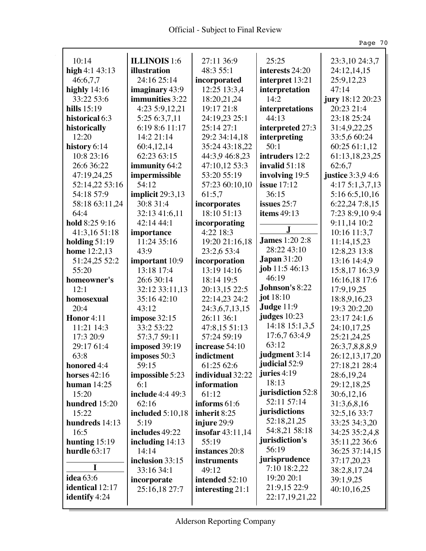$\hat{\mathcal{A}}$ 

|                  |                         |                         |                       | Page 70           |
|------------------|-------------------------|-------------------------|-----------------------|-------------------|
|                  |                         |                         |                       |                   |
| 10:14            | ILLINOIS 1:6            | 27:11 36:9              | 25:25                 | 23:3,10 24:3,7    |
| high $4:143:13$  | illustration            | 48:3 55:1               | interests 24:20       | 24:12,14,15       |
| 46:6,7,7         | 24:16 25:14             | incorporated            | interpret 13:21       | 25:9,12,23        |
| highly $14:16$   | imaginary 43:9          | 12:25 13:3,4            | interpretation        | 47:14             |
| 33:22 53:6       | immunities 3:22         | 18:20,21,24             | 14:2                  | jury 18:12 20:23  |
| hills $15:19$    | 4:23 5:9,12,21          | 19:17 21:8              | interpretations       | 20:23 21:4        |
| historical 6:3   | 5:25 6:3,7,11           | 24:19,23 25:1           | 44:13                 | 23:18 25:24       |
| historically     | 6:19 8:6 11:17          | 25:14 27:1              | interpreted 27:3      | 31:4,9,22,25      |
| 12:20            | 14:2 21:14              | 29:2 34:14,18           | interpreting          | 33:5,6 60:24      |
| history 6:14     | 60:4,12,14              | 35:24 43:18,22          | 50:1                  | 60:25 61:1,12     |
| 10:8 23:16       | 62:23 63:15             | 44:3,9 46:8,23          | intruders 12:2        | 61:13,18,23,25    |
| 26:6 36:22       | immunity 64:2           | 47:10,12 53:3           | invalid $51:18$       | 62:6,7            |
| 47:19,24,25      | impermissible           | 53:20 55:19             | involving 19:5        | justice 3:3,9 4:6 |
| 52:14,22 53:16   | 54:12                   | 57:23 60:10,10          | <b>issue</b> 17:12    | 4:175:1,3,7,13    |
| 54:18 57:9       | implicit $29:3,13$      | 61:5,7                  | 36:15                 | 5:16 6:5,10,16    |
| 58:18 63:11,24   | 30:8 31:4               | incorporates            | issues $25:7$         | 6:22,24 7:8,15    |
| 64:4             | 32:13 41:6,11           | 18:10 51:13             | items $49:13$         | 7:23 8:9,10 9:4   |
| hold 8:25 9:16   | 42:14 44:1              | incorporating           |                       | 9:11,14 10:2      |
| 41:3,16 51:18    | importance              | 4:22 18:3               | J.                    | 10:16 11:3,7      |
| holding $51:19$  | 11:24 35:16             | 19:20 21:16,18          | <b>James</b> 1:20 2:8 | 11:14,15,23       |
| home 12:2,13     | 43:9                    | 23:2,6 53:4             | 28:22 43:10           | 12:8,23 13:8      |
| 51:24,25 52:2    | important 10:9          | incorporation           | <b>Japan</b> 31:20    | 13:16 14:4,9      |
| 55:20            | 13:18 17:4              | 13:19 14:16             | job 11:5 46:13        | 15:8,17 16:3,9    |
| homeowner's      | 26:6 30:14              | 18:14 19:5              | 46:19                 | 16:16,18 17:6     |
| 12:1             | 32:12 33:11,13          | 20:13,15 22:5           | Johnson's 8:22        | 17:9,19,25        |
| homosexual       | 35:16 42:10             | 22:14,23 24:2           | jot $18:10$           | 18:8,9,16,23      |
| 20:4             | 43:12                   | 24:3,6,7,13,15          | Judge 11:9            | 19:3 20:2,20      |
| Honor 4:11       | impose 32:15            | 26:11 36:1              | judges 10:23          | 23:17 24:1,6      |
| 11:21 14:3       | 33:2 53:22              | 47:8,15 51:13           | 14:18 15:1,3,5        | 24:10,17,25       |
| 17:3 20:9        | 57:3,7 59:11            | 57:24 59:19             | 17:6,7 63:4,9         | 25:21,24,25       |
| 29:17 61:4       | imposed 39:19           | increase 54:10          | 63:12                 | 26:3,7,8,8,8,9    |
| 63:8             | imposes 50:3            | indictment              | judgment 3:14         | 26:12,13,17,20    |
| honored 4:4      | 59:15                   | 61:25 62:6              | judicial 52:9         | 27:18,21 28:4     |
| horses $42:16$   | impossible 5:23         | individual 32:22        | juries 4:19           | 28:6,19,24        |
| human $14:25$    | 6:1                     | information             | 18:13                 | 29:12,18,25       |
| 15:20            | <b>include</b> 4:4 49:3 | 61:12                   | jurisdiction 52:8     | 30:6,12,16        |
| hundred 15:20    | 62:16                   | informs 61:6            | 52:11 57:14           | 31:3,6,8,16       |
| 15:22            | included 5:10,18        | inherit 8:25            | jurisdictions         | 32:5,16 33:7      |
| hundreds 14:13   | 5:19                    | injure 29:9             | 52:18,21,25           | 33:25 34:3,20     |
| 16:5             | includes 49:22          | <b>insofar</b> 43:11,14 | 54:8,21 58:18         | 34:25 35:2,4,8    |
| hunting $15:19$  | including $14:13$       | 55:19                   | jurisdiction's        | 35:11,22 36:6     |
| hurdle 63:17     | 14:14                   | instances 20:8          | 56:19                 | 36:25 37:14,15    |
|                  | inclusion 33:15         | instruments             | jurisprudence         | 37:17,20,23       |
| I                | 33:16 34:1              | 49:12                   | 7:10 18:2,22          | 38:2,8,17,24      |
| <b>idea</b> 63:6 | incorporate             | intended 52:10          | 19:20 20:1            | 39:1,9,25         |
| identical 12:17  | 25:16,18 27:7           | interesting 21:1        | 21:9,15 22:9          | 40:10,16,25       |
| identify 4:24    |                         |                         | 22:17,19,21,22        |                   |
|                  |                         |                         |                       |                   |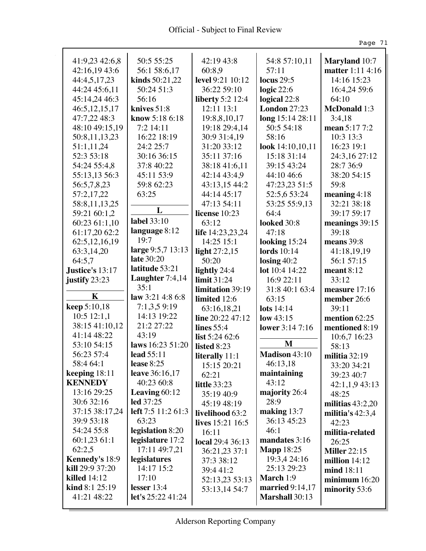Ŷ,

|                               |                           |                                |                        | Page 71                                  |
|-------------------------------|---------------------------|--------------------------------|------------------------|------------------------------------------|
| 41:9,23 42:6,8                | 50:5 55:25                | 42:19 43:8                     | 54:8 57:10,11          | <b>Maryland</b> 10:7                     |
| 42:16,19 43:6                 | 56:1 58:6,17              | 60:8,9                         | 57:11                  | matter 1:11 4:16                         |
| 44:4,5,17,23                  | kinds 50:21,22            | level 9:21 10:12               | <b>locus</b> 29:5      | 14:16 15:23                              |
| 44:24 45:6,11                 | 50:24 51:3                | 36:22 59:10                    | logic $22:6$           | 16:4,24 59:6                             |
| 45:14,24 46:3                 | 56:16                     | <b>liberty</b> 5:2 12:4        | logical 22:8           | 64:10                                    |
| 46:5, 12, 15, 17              | knives $51:8$             | $12:11$ $13:1$                 | <b>London 27:23</b>    | <b>McDonald</b> 1:3                      |
| 47:7,22 48:3                  | know 5:18 6:18            | 19:8,8,10,17                   | long 15:14 28:11       | 3:4,18                                   |
| 48:10 49:15,19                | 7:2 14:11                 | 19:18 29:4,14                  | 50:5 54:18             | mean 5:17 7:2                            |
| 50:8,11,13,23                 | 16:22 18:19               | 30:9 31:4,19                   | 58:16                  | 10:3 13:3                                |
| 51:1,11,24                    | 24:2 25:7                 | 31:20 33:12                    | look 14:10,10,11       | 16:23 19:1                               |
| 52:3 53:18                    | 30:16 36:15               | 35:11 37:16                    | 15:18 31:14            | 24:3,16 27:12                            |
| 54:24 55:4,8                  | 37:8 40:22                | 38:18 41:6,11                  | 39:15 43:24            | 28:7 36:9                                |
| 55:13,13 56:3                 | 45:11 53:9                | 42:14 43:4.9                   | 44:10 46:6             | 38:20 54:15                              |
| 56:5,7,8,23                   | 59:8 62:23                | 43:13,15 44:2                  | 47:23,23 51:5          | 59:8                                     |
| 57:2,17,22                    | 63:25                     | 44:14 45:17                    | 52:5,6 53:24           | meaning $4:18$                           |
| 58:8,11,13,25                 |                           | 47:13 54:11                    | 53:25 55:9,13          | 32:21 38:18                              |
| 59:21 60:1,2                  | L                         | license 10:23                  | 64:4                   | 39:17 59:17                              |
| 60:23 61:1,10                 | <b>label</b> 33:10        | 63:12                          | looked 30:8            | meanings 39:15                           |
| 61:17,20 62:2                 | language 8:12             | life 14:23,23,24               | 47:18                  | 39:18                                    |
| 62:5, 12, 16, 19              | 19:7                      | 14:25 15:1                     | looking $15:24$        | means 39:8                               |
| 63:3,14,20                    | large 9:5,7 13:13         | light $27:2,15$                | <b>lords</b> 10:14     | 41:18,19,19                              |
| 64:5,7                        | late 30:20                | 50:20                          | losing $40:2$          | 56:1 57:15                               |
| Justice's 13:17               | latitude 53:21            | lightly 24:4                   | lot 10:4 14:22         | meant $8:12$                             |
| justify 23:23                 | Laughter 7:4,14           | limit 31:24                    | 16:9 22:11             | 33:12                                    |
| $\mathbf K$                   | 35:1                      | limitation 39:19               | 31:8 40:1 63:4         | measure 17:16                            |
|                               | law 3:21 4:8 6:8          | limited 12:6                   | 63:15                  | member 26:6                              |
| keep 5:10,18                  | 7:1,3,59:19               | 63:16,18,21                    | lots $14:14$           | 39:11                                    |
| $10:5$ 12:1,1                 | 14:13 19:22<br>21:2 27:22 | line $20:2247:12$              | low $43:15$            | mention $62:25$                          |
| 38:15 41:10,12<br>41:14 48:22 | 43:19                     | lines $55:4$                   | lower 3:14 7:16        | mentioned 8:19                           |
| 53:10 54:15                   | laws 16:23 51:20          | list $5:2462:6$                | M                      | 10:6,7 16:23                             |
| 56:23 57:4                    | lead 55:11                | listed 8:23                    | Madison 43:10          | 58:13                                    |
| 58:4 64:1                     | lease 8:25                | literally 11:1                 | 46:13,18               | militia $32:19$                          |
| keeping 18:11                 | <b>leave</b> 36:16,17     | 15:15 20:21                    | maintaining            | 33:20 34:21                              |
| <b>KENNEDY</b>                | 40:23 60:8                | 62:21                          | 43:12                  | 39:23 40:7                               |
| 13:16 29:25                   | Leaving $60:12$           | <b>little</b> 33:23            | majority 26:4          | $42:1,1,9$ 43:13                         |
| 30:6 32:16                    | led 37:25                 | 35:19 40:9                     | 28:9                   | 48:25                                    |
| 37:15 38:17,24                | left 7:5 11:2 61:3        | 45:19 48:19<br>livelihood 63:2 | making 13:7            | militias $43:2,20$<br>militia's $42:3,4$ |
| 39:9 53:18                    | 63:23                     | lives 15:21 16:5               | 36:13 45:23            | 42:23                                    |
| 54:24 55:8                    | legislation 8:20          | 16:11                          | 46:1                   | militia-related                          |
| 60:1,2361:1                   | legislature 17:2          | local 29:4 36:13               | mandates 3:16          | 26:25                                    |
| 62:2,5                        | 17:11 49:7,21             | 36:21,23 37:1                  | <b>Mapp 18:25</b>      | <b>Miller</b> 22:15                      |
| Kennedy's 18:9                | legislatures              | 37:3 38:12                     | 19:3,4 24:16           | million $14:12$                          |
| kill 29:9 37:20               | 14:17 15:2                | 39:4 41:2                      | 25:13 29:23            | mind 18:11                               |
| killed $14:12$                | 17:10                     | 52:13,23 53:13                 | March 1:9              | minimum 16:20                            |
| <b>kind</b> $8:1$ $25:19$     | lesser $13:4$             | 53:13,14 54:7                  | <b>married</b> 9:14,17 | minority 53:6                            |
| 41:21 48:22                   | let's $25:2241:24$        |                                | <b>Marshall</b> 30:13  |                                          |
|                               |                           |                                |                        |                                          |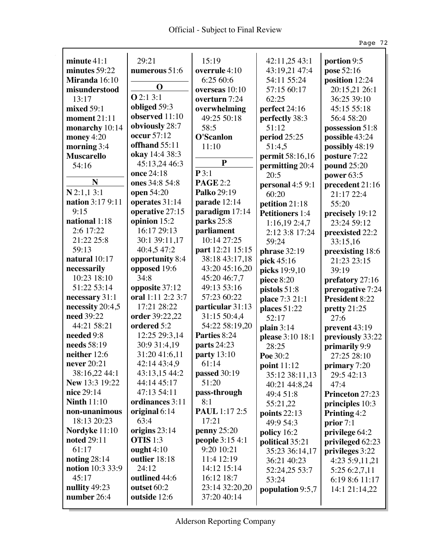Ŷ,

|                         |                   |                             |                        | Page 72                |
|-------------------------|-------------------|-----------------------------|------------------------|------------------------|
| minute 41:1             | 29:21             | 15:19                       | 42:11,25 43:1          | portion 9:5            |
| minutes 59:22           | numerous 51:6     | overrule 4:10               | 43:19,21 47:4          | pose 52:16             |
| Miranda 16:10           |                   | 6:25 60:6                   | 54:11 55:24            | position 12:24         |
| misunderstood           | $\bf{O}$          | overseas 10:10              | 57:15 60:17            | 20:15,21 26:1          |
| 13:17                   | Q2:13:1           | overturn 7:24               | 62:25                  | 36:25 39:10            |
| mixed 59:1              | obliged 59:3      | overwhelming                | perfect 24:16          | 45:15 55:18            |
| moment 21:11            | observed 11:10    | 49:25 50:18                 | perfectly 38:3         | 56:4 58:20             |
| monarchy 10:14          | obviously 28:7    | 58:5                        | 51:12                  | possession 51:8        |
| money $4:20$            | occur 57:12       | <b>O'Scanlon</b>            | period 25:25           | possible 43:24         |
| morning 3:4             | offhand 55:11     | 11:10                       | 51:4,5                 | possibly 48:19         |
| <b>Muscarello</b>       | okay 14:4 38:3    |                             | permit 58:16,16        | posture 7:22           |
| 54:16                   | 45:13,24 46:3     | ${\bf P}$                   | permitting 20:4        | pound 25:20            |
|                         | once 24:18        | P3:1                        | 20:5                   | power $63:5$           |
| N                       | ones 34:8 54:8    | <b>PAGE 2:2</b>             | personal 4:5 9:1       | precedent 21:16        |
| $N$ 2:1,1 3:1           | open 54:20        | Palko 29:19                 | 60:20                  | 21:17 22:4             |
| <b>nation</b> 3:17 9:11 | operates 31:14    | parade 12:14                | petition 21:18         | 55:20                  |
| 9:15                    | operative 27:15   | paradigm 17:14              | <b>Petitioners</b> 1:4 | precisely 19:12        |
| national 1:18           | opinion 15:2      | parks 25:8                  | 1:16,19 2:4,7          | 23:24 59:12            |
| 2:6 17:22               | 16:17 29:13       | parliament                  | 2:12 3:8 17:24         | preexisted 22:2        |
| 21:22 25:8              | 30:1 39:11,17     | 10:14 27:25                 | 59:24                  | 33:15,16               |
| 59:13                   | 40:4,5 47:2       | part 12:21 15:15            | phrase 32:19           | preexisting 18:6       |
| natural 10:17           | opportunity 8:4   | 38:18 43:17,18              | pick 45:16             | 21:23 23:15            |
| necessarily             | opposed 19:6      | 43:20 45:16,20              | picks 19:9,10          | 39:19                  |
| 10:23 18:10             | 34:8              | 45:20 46:7,7                | piece 8:20             | prefatory 27:16        |
| 51:22 53:14             | opposite 37:12    | 49:13 53:16                 | pistols 51:8           | prerogative 7:24       |
| necessary 31:1          | oral 1:11 2:2 3:7 | 57:23 60:22                 | place 7:3 21:1         | <b>President 8:22</b>  |
| necessity 20:4,5        | 17:21 28:22       | particular 31:13            | places 51:22           | pretty $21:25$         |
| need 39:22              | order 39:22,22    | 31:15 50:4,4                | 52:17                  | 27:6                   |
| 44:21 58:21             | ordered 5:2       | 54:22 58:19,20              | plain $3:14$           | prevent 43:19          |
| needed 9:8              | 12:25 29:3,14     | Parties 8:24                | please 3:10 18:1       | previously 33:22       |
| needs 58:19             | 30:9 31:4,19      | <b>parts</b> 24:23          | 28:25                  | primarily 9:9          |
| neither 12:6            | 31:20 41:6,11     | party 13:10                 | Poe 30:2               | 27:25 28:10            |
| never 20:21             | 42:14 43:4,9      | 61:14                       | point 11:12            | primary 7:20           |
| 38:16,22 44:1           | 43:13,15 44:2     | passed 30:19                | 35:12 38:11,13         | 29:5 42:13             |
| New 13:3 19:22          | 44:14 45:17       | 51:20                       | 40:21 44:8,24          | 47:4                   |
| nice 29:14              | 47:13 54:11       | pass-through                | 49:4 51:8              | <b>Princeton 27:23</b> |
| <b>Ninth 11:10</b>      | ordinances 3:11   | 8:1                         | 55:21,22               | principles 10:3        |
| non-unanimous           | original 6:14     | <b>PAUL</b> 1:17 2:5        | points $22:13$         | Printing 4:2           |
| 18:13 20:23             | 63:4              | 17:21                       | 49:9 54:3              | prior 7:1              |
| Nordyke 11:10           | origins 23:14     | $\boldsymbol{p}$ enny 25:20 | policy 16:2            | privilege 64:2         |
| noted 29:11             | <b>OTIS</b> 1:3   | people 3:15 4:1             | political 35:21        | privileged 62:23       |
| 61:17                   | ought $4:10$      | 9:20 10:21                  | 35:23 36:14,17         | privileges 3:22        |
| noting $28:14$          | outlier 18:18     | 11:4 12:19                  | 36:21 40:23            | 4:23 5:9,11,21         |
| notion 10:3 33:9        | 24:12             | 14:12 15:14                 | 52:24,25 53:7          | 5:25 6:2,7,11          |
| 45:17                   | outlined 44:6     | 16:12 18:7                  | 53:24                  | 6:19 8:6 11:17         |
| nullity 49:23           | outset 60:2       | 23:14 32:20,20              | population 9:5,7       | 14:1 21:14,22          |
| number 26:4             | outside 12:6      | 37:20 40:14                 |                        |                        |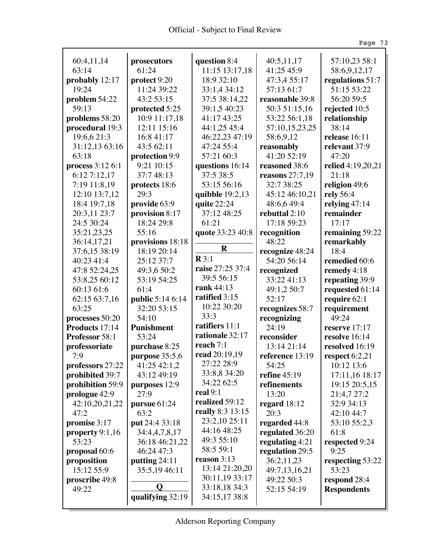$\hat{\mathcal{L}}$ 

|                                  |                              |                              |                                 | Page 73                         |
|----------------------------------|------------------------------|------------------------------|---------------------------------|---------------------------------|
|                                  |                              |                              |                                 |                                 |
| 60:4,11,14<br>63:14              | prosecutors<br>61:24         | question 8:4                 | 40:5,11,17                      | 57:10,23 58:1                   |
|                                  |                              | 11:15 13:17,18<br>18:9 32:10 | 41:25 45:9                      | 58:6,9,12,17                    |
| probably 12:17                   | protect 9:20                 |                              | 47:3,4 55:17                    | regulations 51:7<br>51:15 53:22 |
| 19:24                            | 11:24 39:22                  | 33:1,4 34:12                 | 57:13 61:7                      |                                 |
| problem 54:22<br>59:13           | 43:2 53:15                   | 37:5 38:14,22                | reasonable 39:8                 | 56:20 59:5                      |
|                                  | protected 5:25               | 39:1,5 40:23<br>41:17 43:25  | 50:3 51:15,16                   | rejected 10:5                   |
| problems 58:20                   | 10:9 11:17,18                |                              | 53:22 56:1,18                   | relationship                    |
| procedural 19:3                  | 12:11 15:16                  | 44:1,25 45:4                 | 57:10,15,23,25                  | 38:14<br>release 16:11          |
| 19:6,6 21:3                      | 16:8 41:17                   | 46:22,23 47:19               | 58:6,9,12                       |                                 |
| 31:12,13 63:16<br>63:18          | 43:5 62:11                   | 47:24 55:4                   | reasonably<br>41:20 52:19       | relevant 37:9<br>47:20          |
|                                  | protection 9:9<br>9:21 10:15 | 57:21 60:3                   |                                 |                                 |
| process 3:12 6:1<br>6:12 7:12,17 | 37:7 48:13                   | questions 16:14<br>37:5 38:5 | reasoned 38:6                   | relied 4:19,20,21<br>21:18      |
|                                  |                              | 53:15 56:16                  | reasons $27:7,19$<br>32:7 38:25 |                                 |
| 7:19 11:8,19<br>12:10 13:7,12    | protects 18:6<br>29:3        | quibble $19:2,13$            | 45:12 46:10,21                  | religion 49:6<br>rely 56:4      |
| 18:4 19:7,18                     | provide 63:9                 | quite 22:24                  | 48:6,649:4                      | relying $47:14$                 |
| 20:3,11 23:7                     | provision 8:17               | 37:12 48:25                  | rebuttal 2:10                   | remainder                       |
| 24:5 30:24                       | 18:24 29:8                   | 61:21                        | 17:18 59:23                     | 17:17                           |
| 35:21,23,25                      | 55:16                        | quote 33:23 40:8             | recognition                     | remaining 59:22                 |
| 36:14,17,21                      | provisions 18:18             |                              | 48:22                           | remarkably                      |
| 37:6,15 38:19                    | 18:19 20:14                  | $\mathbf R$                  | recognize 48:24                 | 18:4                            |
| 40:23 41:4                       | 25:12 37:7                   | $\mathbb{R}3:1$              | 54:20 56:14                     | remedied 60:6                   |
| 47:8 52:24,25                    | 49:3,6 50:2                  | raise 27:25 37:4             | recognized                      | remedy 4:18                     |
| 53:8,25 60:12                    | 53:19 54:25                  | 39:5 56:15                   | 33:22 41:13                     | repeating 39:9                  |
| 60:13 61:6                       | 61:4                         | rank 44:13                   | 49:1,2 50:7                     | requested 61:14                 |
| 62:15 63:7,16                    | <b>public</b> 5:14 6:14      | ratified 3:15                | 52:17                           | require 62:1                    |
| 63:25                            | 32:20 53:15                  | 10:22 30:20                  | recognizes 58:7                 | requirement                     |
| processes 50:20                  | 54:10                        | 33:3                         | recognizing                     | 49:24                           |
| Products 17:14                   | <b>Punishment</b>            | ratifiers 11:1               | 24:19                           | reserve $17:17$                 |
| <b>Professor</b> 58:1            | 53:24                        | rationale 32:17              | reconsider                      | resolve 16:14                   |
| professoriate                    | purchase 8:25                | reach 7:1                    | 13:14 21:14                     | resolved 16:19                  |
| 7:9                              | purpose $35:5,6$             | read 20:19,19                | reference 13:19                 | respect $6:2,21$                |
| professors 27:22                 | 41:25 42:1,2                 | 27:22 28:9                   | 54:25                           | 10:12 13:6                      |
| prohibited 39:7                  | 43:12 49:19                  | 33:8,8 34:20                 | refine 45:19                    | 17:11,16 18:17                  |
| prohibition 59:9                 | purposes 12:9                | 34:22 62:5                   | refinements                     | 19:15 20:5,15                   |
| prologue 42:9                    | 27:9                         | real $9:1$                   | 13:20                           | 21:4,7 27:2                     |
| 42:10,20,21,22                   | pursue 61:24                 | realized 59:12               | regard $18:12$                  | 32:9 34:13                      |
| 47:2                             | 63:2                         | really 8:3 13:15             | 20:3                            | 42:10 44:7                      |
| promise 3:17                     | put 24:4 33:18               | 23:2,10 25:11                | regarded 44:8                   | 53:10 55:2,3                    |
| property $9:1,16$                | 34:4,4,7,8,17                | 44:16 48:25                  | regulated 36:20                 | 61:8                            |
| 53:23                            | 36:18 46:21,22               | 49:3 55:10                   | regulating 4:21                 | respected 9:24                  |
| proposal 60:6                    | 46:24 47:3                   | 58:5 59:1                    | regulation 29:5                 | 9:25                            |
| proposition                      | putting 24:11                | reason $3:13$                | 36:2,11,23                      | respecting 53:22                |
| 15:12 55:9                       | 35:5,19 46:11                | 13:14 21:20,20               | 49:7,13,16,21                   | 53:23                           |
| proscribe 49:8                   |                              | 30:11,19 33:17               | 49:22 50:3                      | respond 28:4                    |
| 49:22                            | Q                            | 33:18,18 34:3                | 52:15 54:19                     | <b>Respondents</b>              |
|                                  | qualifying 32:19             | 34:15,17 38:8                |                                 |                                 |
|                                  |                              |                              |                                 |                                 |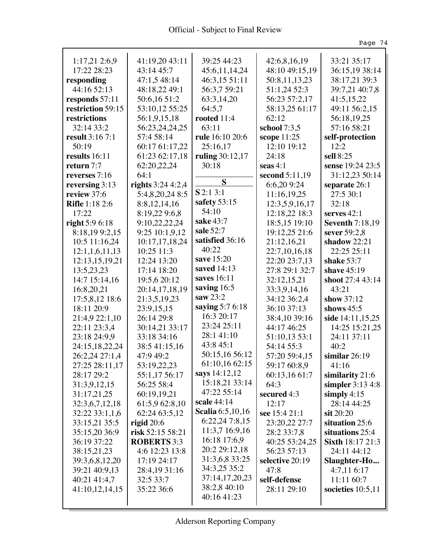| <b>Official</b> - Subject to Final Review |
|-------------------------------------------|
|-------------------------------------------|

Ŷ,

|                        |                           |                  |                 | Page 74                |
|------------------------|---------------------------|------------------|-----------------|------------------------|
| 1:17,212:6,9           | 41:19,20 43:11            | 39:25 44:23      | 42:6,8,16,19    | 33:21 35:17            |
| 17:22 28:23            | 43:14 45:7                | 45:6,11,14,24    | 48:10 49:15,19  | 36:15,19 38:14         |
| responding             | 47:1,5 48:14              | 46:3,15 51:11    | 50:8,11,13,23   | 38:17,21 39:3          |
| 44:16 52:13            | 48:18,22 49:1             | 56:3,7 59:21     | 51:1,24 52:3    | 39:7,21 40:7,8         |
| responds 57:11         | 50:6,16 51:2              | 63:3,14,20       | 56:23 57:2,17   | 41:5,15,22             |
| restriction 59:15      | 53:10,12 55:25            | 64:5,7           | 58:13,25 61:17  | 49:11 56:2,15          |
| restrictions           | 56:1,9,15,18              | rooted 11:4      | 62:12           | 56:18,19,25            |
| 32:14 33:2             | 56:23,24,24,25            | 63:11            | school $7:3,5$  | 57:16 58:21            |
| <b>result</b> 3:16 7:1 | 57:4 58:14                | rule 16:10 20:6  | scope 11:25     | self-protection        |
| 50:19                  | 60:17 61:17,22            | 25:16,17         | 12:10 19:12     | 12:2                   |
| results 16:11          | 61:23 62:17,18            | ruling 30:12,17  | 24:18           | sell 8:25              |
| return 7:7             | 62:20,22,24               | 30:18            | seas $4:1$      | sense 19:24 23:5       |
| reverses $7:16$        | 64:1                      |                  | second 5:11,19  | 31:12,23 50:14         |
| reversing $3:13$       | <b>rights</b> $3:244:2,4$ | S                | 6:6,209:24      | separate 26:1          |
| review 37:6            | 5:4,8,20,24 8:5           | $S$ 2:1 3:1      | 11:16,19,25     | 27:5 30:1              |
| <b>Rifle</b> 1:18 2:6  | 8:8,12,14,16              | safety 53:15     | 12:3,5,9,16,17  | 32:18                  |
| 17:22                  | 8:19,22 9:6,8             | 54:10            | 12:18,22 18:3   | serves $42:1$          |
| right 5:9 6:18         | 9:10,22,22,24             | sake 43:7        | 18:5,15 19:10   | <b>Seventh 7:18,19</b> |
| 8:18,199:2,15          | 9:25 10:1,9,12            | sale 52:7        | 19:12,25 21:6   | sever $59:2,8$         |
| 10:5 11:16,24          | 10:17,17,18,24            | satisfied 36:16  | 21:12,16,21     | shadow 22:21           |
| 12:1,1,6,11,13         | 10:25 11:3                | 40:22            | 22:7,10,16,18   | 22:25 25:11            |
| 12:13,15,19,21         | 12:24 13:20               | save 15:20       | 22:20 23:7,13   | shake 53:7             |
| 13:5,23,23             | 17:14 18:20               | saved 14:13      | 27:8 29:1 32:7  | shave $45:19$          |
| 14:7 15:14,16          | 19:5,6 20:12              | saves 16:11      | 32:12,15,21     | shoot 27:4 43:14       |
| 16:8,20,21             | 20:14,17,18,19            | saving 16:5      | 33:3,9,14,16    | 43:21                  |
| 17:5,8,12 18:6         | 21:3,5,19,23              | saw $23:2$       | 34:12 36:2,4    | show 37:12             |
| 18:11 20:9             | 23:9,15,15                | saying 5:7 6:18  | 36:10 37:13     | shows $45:5$           |
| 21:4,9 22:1,10         | 26:14 29:8                | 16:3 20:17       | 38:4,10 39:16   | side 14:11,15,25       |
| 22:11 23:3,4           | 30:14,21 33:17            | 23:24 25:11      | 44:17 46:25     | 14:25 15:21.25         |
| 23:18 24:9,9           | 33:18 34:16               | 28:141:10        | 51:10,13 53:1   | 24:11 37:11            |
| 24:15,18,22,24         | 38:5 41:15,16             | 43:8 45:1        | 54:14 55:3      | 40:2                   |
| 26:2,24 27:1,4         | 47:9 49:2                 | 50:15,16 56:12   | 57:20 59:4,15   | similar $26:19$        |
| 27:25 28:11,17         | 53:19,22,23               | 61:10,16 62:15   | 59:17 60:8,9    | 41:16                  |
| 28:17 29:2             | 55:1,17 56:17             | says 14:12,12    | 60:13,16 61:7   | similarity 21:6        |
| 31:3,9,12,15           | 56:25 58:4                | 15:18,21 33:14   | 64:3            | simpler 3:13 4:8       |
| 31:17,21,25            | 60:19,19,21               | 47:22 55:14      | secured 4:3     | simply $4:15$          |
| 32:3,6,7,12,18         | 61:5,9 62:8,10            | scale 44:14      | 12:17           | 28:14 44:25            |
| 32:22 33:1,1,6         | 62:24 63:5,12             | Scalia 6:5,10,16 | see 15:4 21:1   | $\sin 20:20$           |
| 33:15,21 35:5          | rigid $20:6$              | 6:22,24 7:8,15   | 23:20,22 27:7   | situation 25:6         |
| 35:15,20 36:9          | risk 52:15 58:21          | 11:3,7 16:9,16   | 28:2 33:7,8     | situations 25:4        |
| 36:19 37:22            | <b>ROBERTS</b> 3:3        | 16:18 17:6,9     | 40:25 53:24,25  | Sixth 18:17 21:3       |
| 38:15,21,23            | 4:6 12:23 13:8            | 20:2 29:12,18    | 56:23 57:13     | 24:11 44:12            |
| 39:3,6,8,12,20         | 17:19 24:17               | 31:3,6,8 33:25   | selective 20:19 | Slaughter-Ho           |
| 39:21 40:9,13          | 28:4,19 31:16             | 34:3,25 35:2     | 47:8            | 4:7,116:17             |
| 40:21 41:4,7           | 32:5 33:7                 | 37:14,17,20,23   | self-defense    | 11:11 60:7             |
| 41:10,12,14,15         | 35:22 36:6                | 38:2,8 40:10     | 28:11 29:10     | societies $10:5,11$    |
|                        |                           | 40:16 41:23      |                 |                        |
|                        |                           |                  |                 |                        |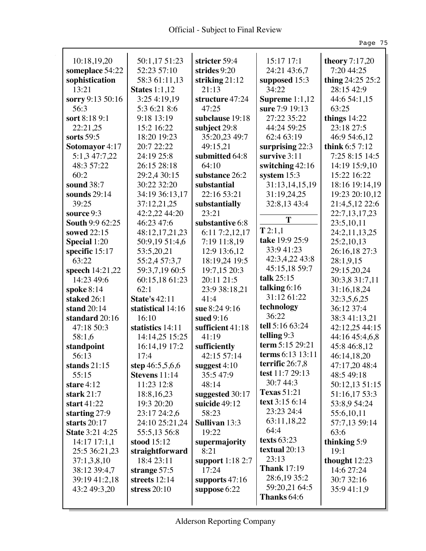Ŷ,

|                        |                      |                      |                    | Page 75          |
|------------------------|----------------------|----------------------|--------------------|------------------|
| 10:18,19,20            | 50:1,17 51:23        | stricter 59:4        | 15:17 17:1         | theory 7:17,20   |
| someplace 54:22        | 52:23 57:10          | strides 9:20         | 24:21 43:6,7       | 7:20 44:25       |
| sophistication         | 58:3 61:11,13        | striking $21:12$     | supposed 15:3      | thing 24:25 25:2 |
| 13:21                  | <b>States</b> 1:1,12 | 21:13                | 34:22              | 28:15 42:9       |
| sorry 9:13 50:16       | 3:25 4:19,19         | structure 47:24      | Supreme $1:1,12$   | 44:6 54:1,15     |
| 56:3                   | 5:3 6:21 8:6         | 47:25                | sure 7:9 19:13     | 63:25            |
| sort 8:18 9:1          | 9:18 13:19           | subclause 19:18      | 27:22 35:22        | things $14:22$   |
| 22:21,25               | 15:2 16:22           | subject 29:8         | 44:24 59:25        | 23:18 27:5       |
| sorts 59:5             | 18:20 19:23          | 35:20,23 49:7        | 62:4 63:19         | 46:9 54:6,12     |
| Sotomayor 4:17         | 20:7 22:22           | 49:15,21             | surprising 22:3    | think $6:57:12$  |
| 5:1,3 47:7,22          | 24:19 25:8           | submitted 64:8       | survive $3:11$     | 7:25 8:15 14:5   |
| 48:3 57:22             | 26:15 28:18          | 64:10                | switching 42:16    | 14:19 15:9,10    |
| 60:2                   | 29:2,4 30:15         | substance 26:2       | system $15:3$      | 15:22 16:22      |
| sound 38:7             | 30:22 32:20          | substantial          | 31:13,14,15,19     | 18:16 19:14,19   |
| sounds $29:14$         | 34:19 36:13,17       | 22:16 53:21          | 31:19,24,25        | 19:23 20:10,12   |
| 39:25                  | 37:12,21,25          | substantially        | 32:8,13 43:4       | 21:4,5,12 22:6   |
| source 9:3             | 42:2,22 44:20        | 23:21                |                    | 22:7, 13, 17, 23 |
| <b>South 9:9 62:25</b> | 46:23 47:6           | substantive 6:8      | T                  | 23:5,10,11       |
| sowed 22:15            | 48:12,17,21,23       | 6:11 7:2,12,17       | T2:1,1             | 24:2,11,13,25    |
| Special 1:20           | 50:9,19 51:4,6       | 7:19 11:8,19         | take 19:9 25:9     | 25:2,10,13       |
| specific 15:17         | 53:5,20,21           | 12:9 13:6,12         | 33:9 41:23         | 26:16,18 27:3    |
| 63:22                  | 55:2,4 57:3,7        | 18:19,24 19:5        | 42:3,4,22 43:8     | 28:1,9,15        |
| speech 14:21,22        | 59:3,7,19 60:5       | 19:7,15 20:3         | 45:15,18 59:7      | 29:15,20,24      |
| 14:23 49:6             | 60:15,18 61:23       | 20:11 21:5           | talk $25:15$       | 30:3,8 31:7,11   |
| spoke $8:14$           | 62:1                 | 23:9 38:18,21        | talking $6:16$     | 31:16,18,24      |
| staked 26:1            | <b>State's 42:11</b> | 41:4                 | 31:12 61:22        | 32:3,5,6,25      |
| stand 20:14            | statistical 14:16    | sue 8:24 9:16        | technology         | 36:12 37:4       |
| standard 20:16         | 16:10                | sued 9:16            | 36:22              | 38:3 41:13,21    |
| 47:18 50:3             | statistics 14:11     | sufficient 41:18     | tell 5:16 63:24    | 42:12,25 44:15   |
| 58:1,6                 | 14:14,25 15:25       | 41:19                | telling 9:3        | 44:16 45:4,6,8   |
| standpoint             | 16:14,19 17:2        | sufficiently         | term 5:15 29:21    | 45:8 46:8,12     |
| 56:13                  | 17:4                 | 42:15 57:14          | terms 6:13 13:11   | 46:14,18,20      |
| stands $21:15$         | step 46:5,5,6,6      | suggest 4:10         | terrific $26:7,8$  | 47:17,20 48:4    |
| 55:15                  | Stevens 11:14        | 35:547:9             | test $11:729:13$   | 48:5 49:18       |
| stare $4:12$           | 11:23 12:8           | 48:14                | 30:7 44:3          | 50:12,13 51:15   |
| stark $21:7$           | 18:8, 16, 23         | suggested 30:17      | <b>Texas</b> 51:21 | 51:16,17 53:3    |
| start $41:22$          | 19:3 20:20           | suicide 49:12        | text 3:15 6:14     | 53:8,9 54:24     |
| starting $27:9$        | 23:17 24:2,6         | 58:23                | 23:23 24:4         | 55:6,10,11       |
| starts $20:17$         | 24:10 25:21,24       | <b>Sullivan</b> 13:3 | 63:11,18,22        | 57:7,13 59:14    |
| <b>State 3:21 4:25</b> | 55:5,13 56:8         | 19:22                | 64:4               | 63:6             |
| $14:17$ $17:1,1$       | stood $15:12$        | supermajority        | texts $63:23$      | thinking 5:9     |
| 25:5 36:21,23          | straightforward      | 8:21                 | textual 20:13      | 19:1             |
| 37:1,3,8,10            | 18:4 23:11           | support 1:18 2:7     | 23:13              | thought $12:23$  |
| 38:12 39:4,7           | strange $57:5$       | 17:24                | <b>Thank</b> 17:19 | 14:6 27:24       |
| 39:19 41:2,18          | streets 12:14        | supports 47:16       | 28:6,19 35:2       | 30:7 32:16       |
| 43:2 49:3,20           | stress $20:10$       | suppose 6:22         | 59:20,21 64:5      | 35:941:1,9       |
|                        |                      |                      | Thanks 64:6        |                  |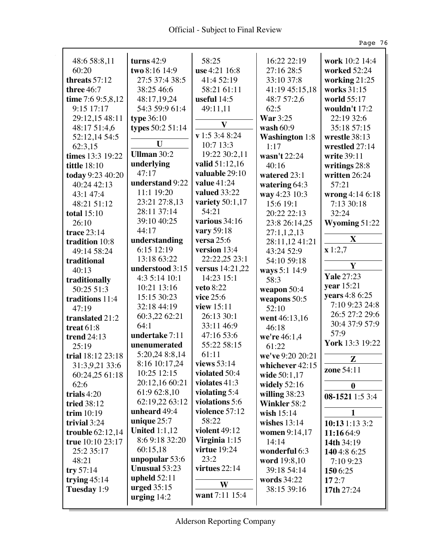Ŷ,

|                     |                      |                           |                       | Page 76           |
|---------------------|----------------------|---------------------------|-----------------------|-------------------|
| 48:6 58:8,11        | turns $42:9$         | 58:25                     | 16:22 22:19           | work 10:2 14:4    |
| 60:20               | two 8:16 14:9        | use 4:21 16:8             | 27:16 28:5            | worked 52:24      |
| threats $57:12$     | 27:5 37:4 38:5       | 41:4 52:19                | 33:10 37:8            | working 21:25     |
| three $46:7$        | 38:25 46:6           | 58:21 61:11               | 41:19 45:15,18        | works 31:15       |
| time 7:6 $9:5,8,12$ | 48:17,19,24          | useful $14:5$             | 48:7 57:2,6           | world 55:17       |
| $9:15$ 17:17        | 54:3 59:9 61:4       | 49:11,11                  | 62:5                  | wouldn't 17:2     |
| 29:12,15 48:11      | type 36:10           |                           | <b>War</b> 3:25       | 22:19 32:6        |
| 48:17 51:4,6        | types $50:251:14$    | $\mathbf{V}$              | wash 60:9             | 35:18 57:15       |
| 52:12,14 54:5       |                      | $\mathbf{v}$ 1:5 3:4 8:24 | <b>Washington</b> 1:8 | wrestle 38:13     |
| 62:3,15             | U                    | 10:7 13:3                 | 1:17                  | wrestled 27:14    |
| times 13:3 19:22    | Ullman $30:2$        | 19:22 30:2,11             | wasn't 22:24          | write 39:11       |
| <b>tittle</b> 18:10 | underlying           | valid 51:12,16            | 40:16                 | writings 28:8     |
| today 9:23 40:20    | 47:17                | valuable 29:10            | watered 23:1          | written 26:24     |
| 40:24 42:13         | understand 9:22      | value $41:24$             | watering $64:3$       | 57:21             |
| 43:1 47:4           | 11:1 19:20           | valued 33:22              | way 4:23 10:3         | wrong 4:14 6:18   |
| 48:21 51:12         | 23:21 27:8,13        | variety 50:1,17           | 15:6 19:1             | 7:13 30:18        |
| <b>total</b> 15:10  | 28:11 37:14          | 54:21                     | 20:22 22:13           | 32:24             |
| 26:10               | 39:10 40:25          | various 34:16             | 23:8 26:14,25         | Wyoming 51:22     |
| <b>trace 23:14</b>  | 44:17                | vary 59:18                | 27:1,1,2,13           |                   |
| tradition 10:8      | understanding        | versa $25:6$              | 28:11,12 41:21        | X                 |
| 49:14 58:24         | 6:15 12:19           | version 13:4              | 43:24 52:9            | x 1:2,7           |
| traditional         | 13:18 63:22          | 22:22,25 23:1             | 54:10 59:18           |                   |
| 40:13               | understood 3:15      | versus 14:21,22           | ways 5:1 14:9         | Y                 |
| traditionally       | 4:3 5:14 10:1        | 14:23 15:1                | 58:3                  | <b>Yale 27:23</b> |
| 50:25 51:3          | 10:21 13:16          | <b>veto</b> 8:22          | weapon 50:4           | year 15:21        |
| traditions 11:4     | 15:15 30:23          | vice 25:6                 | weapons 50:5          | years 4:8 6:25    |
| 47:19               | 32:18 44:19          | view $15:11$              | 52:10                 | 7:10 9:23 24:8    |
| translated 21:2     | 60:3,22 62:21        | 26:13 30:1                | went 46:13,16         | 26:5 27:2 29:6    |
| treat $61:8$        | 64:1                 | 33:11 46:9                | 46:18                 | 30:4 37:9 57:9    |
| <b>trend 24:13</b>  | undertake 7:11       | 47:16 53:6                | we're 46:1,4          | 57:9              |
| 25:19               | unenumerated         | 55:22 58:15               | 61:22                 | York 13:3 19:22   |
| trial 18:12 23:18   | 5:20,24 8:8,14       | 61:11                     | we've 9:20 20:21      | Z                 |
| 31:3,9,21 33:6      | 8:16 10:17,24        | views $53:14$             | whichever 42:15       | zone 54:11        |
| 60:24,25 61:18      | 10:25 12:15          | violated 50:4             | wide 50:1,17          |                   |
| 62:6                | 20:12,16 60:21       | violates $41:3$           | widely $52:16$        | $\boldsymbol{0}$  |
| trials $4:20$       | 61:9 62:8,10         | violating 5:4             | willing $38:23$       | 08-1521 1:5 3:4   |
| tried 38:12         | 62:19,22 63:12       | violations 5:6            | Winkler 58:2          |                   |
| trim $10:19$        | unheard 49:4         | violence 57:12            | wish $15:14$          | 1                 |
| trivial 3:24        | unique $25:7$        | 58:22                     | wishes $13:14$        | 10:13 1:13 3:2    |
| trouble $62:12,14$  | <b>United 1:1,12</b> | violent 49:12             | women 9:14,17         | 11:16 64:9        |
| true 10:10 23:17    | 8:6 9:18 32:20       | Virginia $1:15$           | 14:14                 | 14th 34:19        |
| 25:2 35:17          | 60:15,18             | virtue 19:24              | wonderful 6:3         | 1404:86:25        |
| 48:21               | unpopular 53:6       | 23:2                      | word 19:8,10          | 7:10 9:23         |
| try $57:14$         | <b>Unusual 53:23</b> | virtues $22:14$           | 39:18 54:14           | 150 6:25          |
| trying $45:14$      | upheld $52:11$       | W                         | words 34:22           | 172:7             |
| Tuesday 1:9         | urged $35:15$        | want 7:11 15:4            | 38:15 39:16           | 17th 27:24        |
|                     | urging $14:2$        |                           |                       |                   |